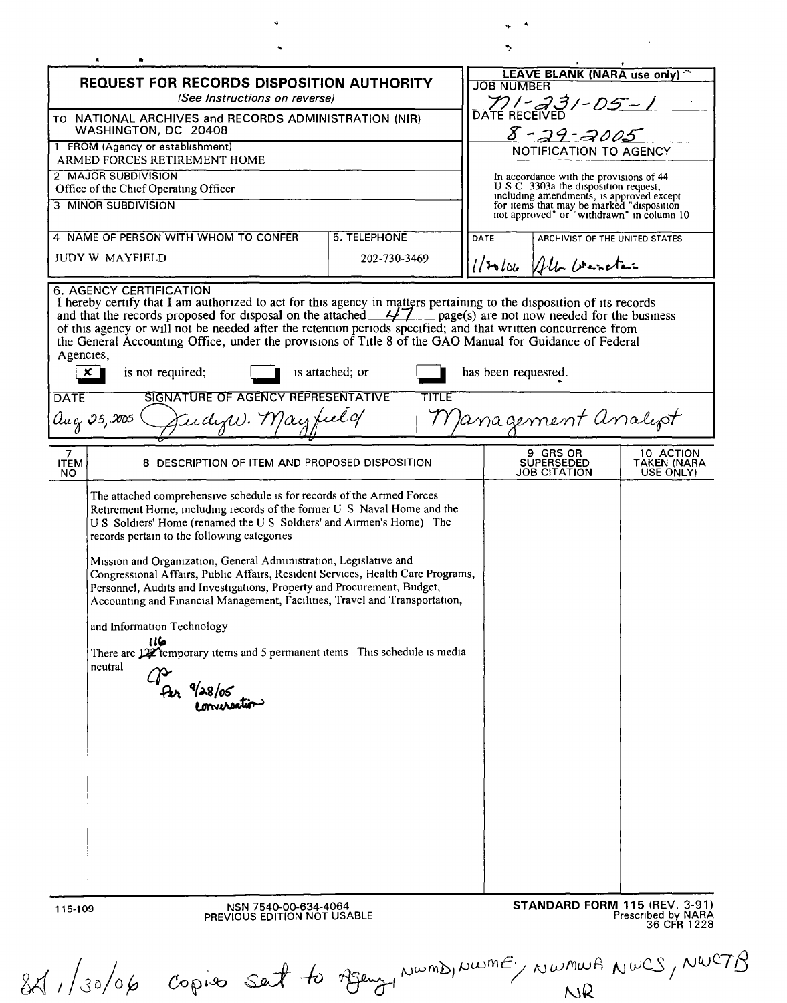**NWML** 

 $\mathcal{L}^{\text{max}}_{\text{max}}$  , where  $\mathcal{L}^{\text{max}}_{\text{max}}$ 

| <b>REQUEST FOR RECORDS DISPOSITION AUTHORITY</b><br>(See Instructions on reverse)            |                                                                                                                                                                                                                                                                                                                                                                                                                                                                                                                                                                                                                                                                                |                                 | <b>JOB NUMBER</b>                                                                                                                                                           |                                              |
|----------------------------------------------------------------------------------------------|--------------------------------------------------------------------------------------------------------------------------------------------------------------------------------------------------------------------------------------------------------------------------------------------------------------------------------------------------------------------------------------------------------------------------------------------------------------------------------------------------------------------------------------------------------------------------------------------------------------------------------------------------------------------------------|---------------------------------|-----------------------------------------------------------------------------------------------------------------------------------------------------------------------------|----------------------------------------------|
|                                                                                              | TO NATIONAL ARCHIVES and RECORDS ADMINISTRATION (NIR)<br>WASHINGTON, DC 20408                                                                                                                                                                                                                                                                                                                                                                                                                                                                                                                                                                                                  |                                 | DATE RECEIVED<br>8-29-2005                                                                                                                                                  |                                              |
|                                                                                              | 1 FROM (Agency or establishment)                                                                                                                                                                                                                                                                                                                                                                                                                                                                                                                                                                                                                                               |                                 | NOTIFICATION TO AGENCY                                                                                                                                                      |                                              |
| ARMED FORCES RETIREMENT HOME<br>2 MAJOR SUBDIVISION<br>Office of the Chief Operating Officer |                                                                                                                                                                                                                                                                                                                                                                                                                                                                                                                                                                                                                                                                                |                                 | In accordance with the provisions of 44                                                                                                                                     |                                              |
|                                                                                              | 3 MINOR SUBDIVISION                                                                                                                                                                                                                                                                                                                                                                                                                                                                                                                                                                                                                                                            |                                 | If S C 3303a the disposition request,<br>including amendments, is approved except<br>for items that may be marked "disposition<br>not approved" or "withdrawn" in column 10 |                                              |
|                                                                                              | 4 NAME OF PERSON WITH WHOM TO CONFER                                                                                                                                                                                                                                                                                                                                                                                                                                                                                                                                                                                                                                           | 5. TELEPHONE                    | DATE<br>ARCHIVIST OF THE UNITED STATES                                                                                                                                      |                                              |
|                                                                                              | <b>JUDY W MAYFIELD</b>                                                                                                                                                                                                                                                                                                                                                                                                                                                                                                                                                                                                                                                         | 202-730-3469                    | 1/20100 All wenter                                                                                                                                                          |                                              |
| Agencies,<br>$\boldsymbol{\mathsf{x}}$  <br><b>DATE</b><br>$\mu_q$ 25,2005                   | I hereby certify that I am authorized to act for this agency in matters pertaining to the disposition of its records<br>and that the records proposed for disposal on the attached $\frac{47}{100}$ page(s) are not now needed for t<br>of this agency or will not be needed after the retention periods specified; and that written concurrence from<br>the General Accounting Office, under the provisions of Title 8 of the GAO Manual for Guidance of Federal<br>is not required;<br>SIGNATURE OF AGENCY REPRESENTATIVE<br>Endyw. May feel of                                                                                                                              | is attached; or<br><b>TITLE</b> | has been requested.<br>Management analyot                                                                                                                                   |                                              |
| 7<br><b>ITEM</b><br>NO.                                                                      | 8 DESCRIPTION OF ITEM AND PROPOSED DISPOSITION                                                                                                                                                                                                                                                                                                                                                                                                                                                                                                                                                                                                                                 |                                 | 9 GRS OR<br><b>SUPERSEDED</b><br><b>JOB CITATION</b>                                                                                                                        | 10 ACTION<br><b>TAKEN (NARA</b><br>USE ONLY) |
|                                                                                              | Retirement Home, including records of the former U S Naval Home and the<br>U S Soldiers' Home (renamed the U S Soldiers' and Airmen's Home) The<br>records pertain to the following categories<br>Mission and Organization, General Administration, Legislative and<br>Congressional Affairs, Public Affairs, Resident Services, Health Care Programs,<br>Personnel, Audits and Investigations, Property and Procurement, Budget,<br>Accounting and Financial Management, Facilities, Travel and Transportation,<br>and Information Technology<br>116<br>There are 12 temporary items and 5 permanent items This schedule is media<br>neutral<br>Per %28/05<br>Per enversation |                                 |                                                                                                                                                                             |                                              |
|                                                                                              | NSN 7540-00-634-4064                                                                                                                                                                                                                                                                                                                                                                                                                                                                                                                                                                                                                                                           |                                 | <b>STANDARD FORM 115 (REV. 3-91)</b>                                                                                                                                        | Prescribed by NARA                           |
| 115-109                                                                                      | PREVIOUS EDITION NOT USABLE                                                                                                                                                                                                                                                                                                                                                                                                                                                                                                                                                                                                                                                    |                                 |                                                                                                                                                                             | 36 CFR 1228                                  |

 $\frac{1}{2}$  . <br> A

 $\ddot{\phi}$ 

 $\ddot{\phantom{0}}$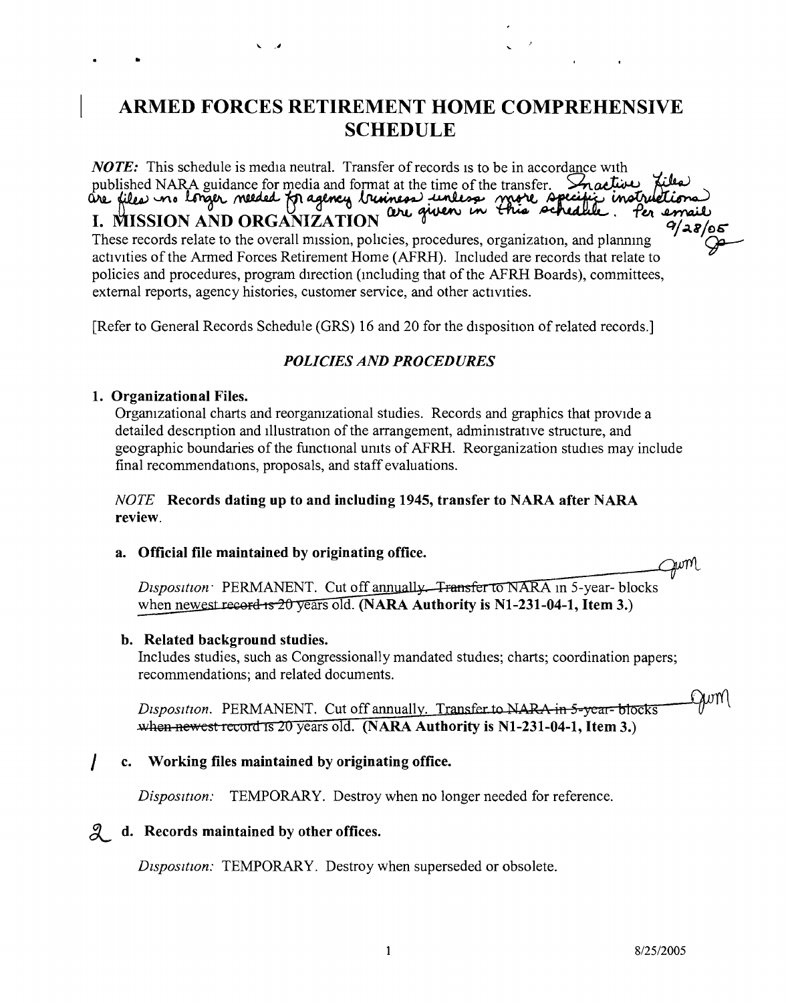## **ARMED FORCES RETIREMENT HOME COMPREHENSIVE SCHEDULE**

*NOTE*: This schedule is media neutral. Transfer of records is to be in accordance with published NARA guidance for media and format at the time of the transfer. Snactive, published NARA guidance for media and format at the time of the transfer. Stracture power<br>are files in longer meeded for agency bringers unless more specific instruction I. MISSION AND ORGANIZATION we were the created. The amount of as/os<br>These records relate to the overall mission, policies, procedures, organization, and planning  $\lambda$ activities of the Armed Forces Retirement Home (AFRH). Included are records that relate to policies and procedures, program direction (mcluding that of the AFRH Boards), committees, external reports, agency histories, customer service, and other activities.

[Refer to General Records Schedule (GRS) 16 and 20 for the disposition of related records.]

### *POLICIES AND PROCEDURES*

#### **1. Organizational Files.**

..

Organizational charts and reorgamzational studies. Records and graphics that provide a detailed descnption and illustration of the arrangement, admimstratrve structure, and geographic boundaries of the functional umts of AFRH. Reorganization studies may include final recommendations, proposals, and staff evaluations.

#### *NOTE* **Records dating up to and including 1945, transfer to NARA after NARA review.**

#### **a. Official file maintained by originating office.**

 $\sim$   $\sim$ 

Disposition PERMANENT. Cut off annually. Transfer to NARA in 5-year-blocks when newest record is  $20$  years old. (NARA Authority is N1-231-04-1, Item 3.)

#### **b. Related background studies.**

Includes studies, such as Congressionally mandated studies; charts; coordination papers; recommendations; and related documents.

Quml Disposition. PERMANENT. Cut off annually. Transfer to NARA in 5-year-blocks when newest record is 20 years old. (NARA Authority is  $N1-231-04-1$ , Item 3.)

#### *I* **c. Working files maintained by originating office.**

*Disposition:* TEMPORARY. Destroy when no longer needed for reference.

#### **~ d. Records maintained by other offices.**

*Dtsposttion:* TEMPORARY. Destroy when superseded or obsolete.

Juml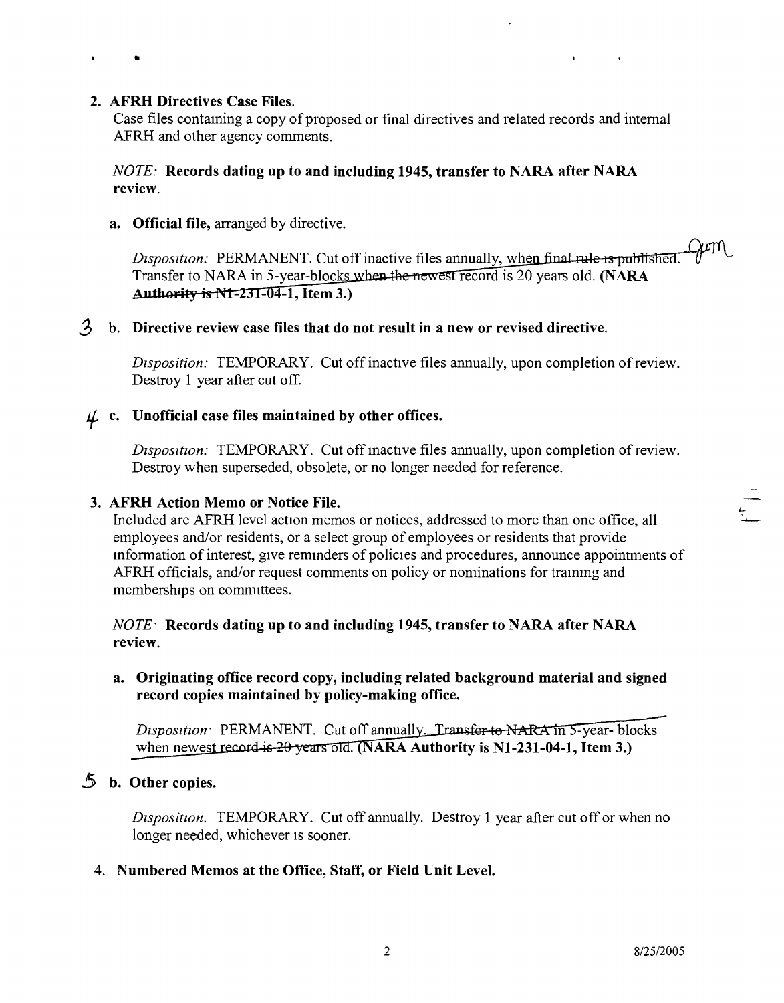#### 2. AFRH Directives Case Files.

..

Case files contaming a copy of proposed or final directives and related records and internal AFRH and other agency comments.

#### *NOTE:* Records dating **up** to and including 1945, transfer to NARA after NARA review.

a. Official file, arranged by directive.

 $\lambda$ om Disposition: PERMANENT. Cut off inactive files annually, when final rule is published. Transfer to NARA in 5-year-blocks when the newest record is 20 years old. (NARA Authority is N1-231-04-1, Item 3.)

#### .3 b. Directive review case files that do not result in a new or revised directive.

*DIsposition:* TEMPORARY. Cut off inactive files annually, upon completion of review. Destroy 1 year after cut off.

## $\mu$  c. Unofficial case files maintained by other offices.

*Disposition:* TEMPORARY. Cut off inactive files annually, upon completion of review. Destroy when superseded, obsolete, or no longer needed for reference.

#### 3. AFRH Action Memo or Notice File.

Included are AFRH level action memos or notices, addressed to more than one office, all \ employees and/or residents, or a select group of employees or residents that provide information of interest, give renunders of policies and procedures, announce appointments of AFRH officials, and/or request comments on policy or nominations for trammg and memberships on committees.

#### *NOTE-Records* dating **up** to and including 1945, transfer to NARA after NARA review.

#### a. Originating office record copy, including related background material and signed record copies maintained by policy-making office.

*Disposition* PERMANENT. Cut off annually. Transfer to NARA in 5-year-blocks when newest record is  $20$  years old. (NARA Authority is N1-231-04-1, Item 3.)

#### 5 b. Other copies.

*Disposition.* TEMPORARY. Cut off annually. Destroy 1 year after cut off or when no longer needed, whichever is sooner.

#### 4. Numbered Memos at the Office, Staff, or Field Unit Level.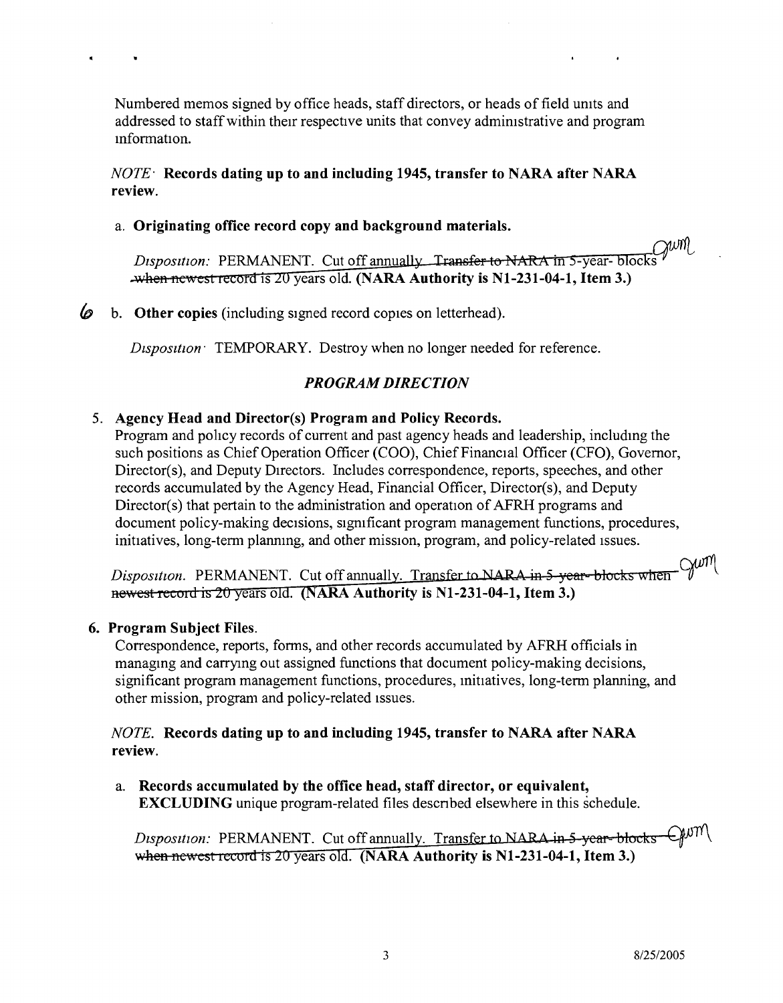NWML

Numbered memos signed by office heads, staff directors, or heads of field umts and addressed to staff within their respective units that convey admimstrative and program mformation.

#### *NOTE-* **Records dating up to and including 1945, transfer to NARA after NARA review.**

#### a. **Originating office record copy and background materials.**

Disposition: PERMANENT. Cut off annually Transfer to NARA in 5-year-blocks  $Q^{|\mathcal{U}|}$ years old. **(NARA Authority is Nl-231-04-1, Item 3.)**

*to* b. **Other copies** (including signed record copies on letterhead).

*Dtspositton:* TEMPORARY. Destroy when no longer needed for reference.

#### *PROGRAM DIRECTION*

#### 5. **Agency Head and Director(s) Program and Policy Records.**

Program and policy records of current and past agency heads and leadership, includmg the such positions as Chief Operation Officer (COO), Chief Financial Officer (CFO), Governor, Director(s), and Deputy Directors. Includes correspondence, reports, speeches, and other records accumulated by the Agency Head, Financial Officer, Director(s), and Deputy Director(s) that pertain to the administration and operation of AFRH programs and document policy-making decisions, sigmficant program management functions, procedures, initiatives, long-term planning, and other mission, program, and policy-related issues.

-Gum Disposition. PERMANENT. Cut off annually. Transfer to NARA in 5-year-blocks when newest record is 20 years old. (NARA Authority is N1-231-04-1, Item 3.)

#### **6. Program Subject Files.**

Correspondence, reports, forms, and other records accumulated by AFRH officials in managing and carrying out assigned functions that document policy-making decisions, significant program management functions, procedures, initiatives, long-term planning, and other mission, program and policy-related Issues.

#### *NOTE.* **Records dating up to and including 1945, transfer to NARA after NARA review.**

a. **Records accumulated by the office head, staff director, or equivalent, EXCLUDING** unique program-related files descnbed elsewhere in this schedule.

 $Q$ um Disposition: PERMANENT. Cut off annually. Transfer to NARA in 5-year-blocks when newest record is 20 years old. (NARA Authority is N1-231-04-1, Item 3.)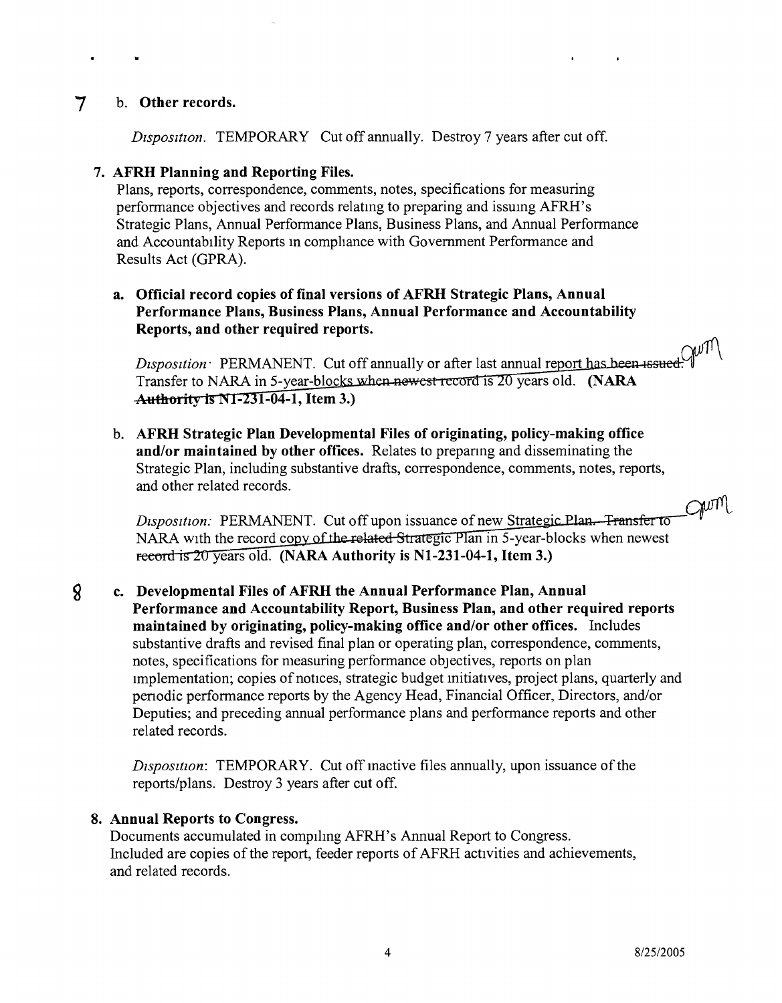#### 7 b. Other records.

•

*Dtsposttton.* TEMPORARY Cut off annually. Destroy 7 years after cut off.

#### 7. AFRH Planning and Reporting Files.

Plans, reports, correspondence, comments, notes, specifications for measuring performance objectives and records relatmg to preparing and issumg AFRH's Strategic Plans, Annual Performance Plans, Business Plans, and Annual Performance and Accountability Reports in compliance with Government Performance and Results Act (GPRA).

#### a. Official record copies of final versions of AFRH Strategic Plans, Annual Performance Plans, Business Plans, Annual Performance and Accountability Reports, and other required reports.

*<sup>J</sup>~I:SP~O~S!lt~i~OI~l~.* ~P~E~RM~~ANE~~N~T~.~C~u~t ~o~ff~ann:~u~a~ll~y~O~r~a~ft;e;r~l~a~st~a~nn~u~a~1 fre~o~rt'-1~:;:--qfl11\ Transfer to NARA in 5-year-bloc years old. (NARA Authority is N1-231-04-1, Item 3.)

b. AFRH Strategic Plan Developmental Files of originating, policy-making office and/or maintained by other offices. Relates to prepanng and disseminating the Strategic Plan, including substantive drafts, correspondence, comments, notes, reports, and other related records.

*Disposition:* PERMANENT. Cut off upon issuance of new Strategic Plan. Transfer to NARA with the record copy of the related Strategic Plan in 5-year-blocks when newest record is 20 years old. (NARA Authority is N1-231-04-1, Item 3.)

#### $\boldsymbol{8}$ c. Developmental Files of AFRH the Annual Performance Plan, Annual Performance and Accountability Report, Business Plan, and other required reports maintained by originating, policy-making office and/or other offices. Includes substantive drafts and revised final plan or operating plan, correspondence, comments, notes, specifications for measuring performance objectives, reports on plan Implementation; copies of notices, strategic budget mitiatives, project plans, quarterly and penodic performance reports by the Agency Head, Financial Officer, Directors, and/or Deputies; and preceding annual performance plans and performance reports and other related records.

*Disposition:* TEMPORARY. Cut off mactive files annually, upon issuance of the reports/plans. Destroy 3 years after cut off.

#### 8. Annual Reports to Congress.

Documents accumulated in compiling AFRH's Annual Report to Congress. Included are copies of the report, feeder reports of AFRH activities and achievements, and related records.

Chrill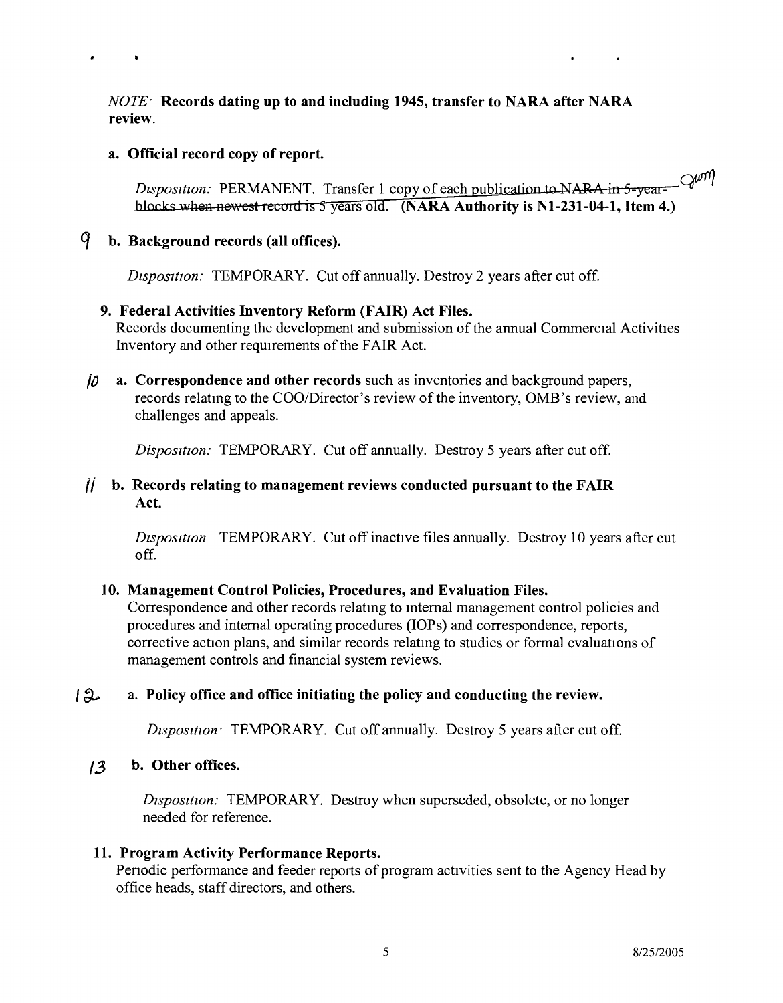*NOTE-* **Records dating up to and including 1945, transfer to NARA after NARA review.**

#### **a. Official record copy of report.**

Disposition: PERMANENT. Transfer 1 copy of each publication to NARA in 5-year- $Q^{\mu\eta}$ <br>blocks when newest record is 5 years old. (NARA Authority is N1-231-04-1. Jtem 4.) blocks when newest record is 5 years old. (NARA Authority is N1-231-04-1, Item 4.)

#### *q* **b. Background records (all offices).**

*Disposttion:* TEMPORARY. Cut off annually. Destroy 2 years after cut off.

#### **9. Federal Activities Inventory Reform (FAIR) Act Files.**

Records documenting the development and submission of the annual Commercial Activities Inventory and other requirements of the FAIR Act.

*if)* **a. Correspondence and other records** such as inventories and background papers, records relating to the COO/Director's review of the inventory, OMB's review, and challenges and appeals.

*Disposition:* TEMPORARY. Cut off annually. Destroy 5 years after cut off.

#### **(/ b. Records relating to management reviews conducted pursuant to the FAIR Act.**

*Disposition* TEMPORARY. Cut off inactive files annually. Destroy 10 years after cut off.

#### **10. Management Control Policies, Procedures, and Evaluation Files.**

Correspondence and other records relatmg to mternal management control policies and procedures and internal operating procedures (lOPs) and correspondence, reports, corrective action plans, and similar records relatmg to studies or formal evaluations of management controls and financial system reviews.

#### *I ~* a. **Policy office and office initiating the policy and conducting the review.**

*Dtsposttton:* TEMPORARY. Cut off annually. Destroy 5 years after cut off.

#### *13* **b. Other offices.**

*Dtsposition:* TEMPORARY. Destroy when superseded, obsolete, or no longer needed for reference.

#### **11. Program Activity Performance Reports.**

Per odic performance and feeder reports of program activities sent to the Agency Head by office heads, staff directors, and others.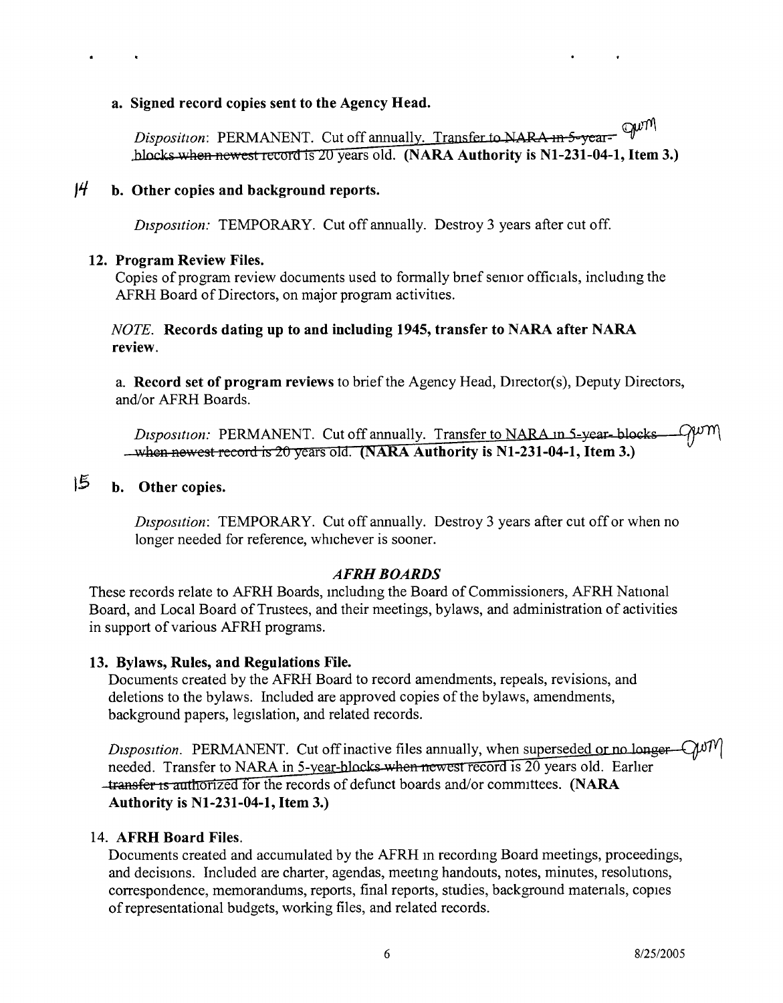#### a. Signed record copies sent to the Agency Head.

gum Disposition: PERMANENT. Cut off annually. Transfer to NARA in 5-yearblocks when newest record is 20 years old. (NARA Authority is N1-231-04-1, Item 3.)

#### *J<sup>4</sup>* b. Other copies and background reports.

*Disposition:* TEMPORARY. Cut off annually. Destroy 3 years after cut off.

#### 12. Program Review Files.

Copies of program review documents used to formally bnef semor officials, includmg the AFRH Board of Directors, on major program activities.

#### *NOTE.* Records dating up to and including 1945, transfer to NARA after NARA review.

a. Record set of program reviews to brief the Agency Head, Director(s), Deputy Directors, and/or AFRH Boards.

QwM Disposition: PERMANENT. Cut off annually. Transfer to NARA in 5-year-blocks- $\rightarrow$  when newest record is 20 years old. (NARA Authority is N1-231-04-1, Item 3.)

## 15 b. Other copies.

*Disposition:* TEMPORARY. Cut off annually. Destroy 3 years after cut off or when no longer needed for reference, whichever is sooner.

#### *AFRHBOARDS*

These records relate to AFRH Boards, mcludmg the Board of Commissioners, AFRH National Board, and Local Board of Trustees, and their meetings, bylaws, and administration of activities in support of various AFRH programs.

#### 13. Bylaws, Rules, and Regulations File.

Documents created by the AFRH Board to record amendments, repeals, revisions, and deletions to the bylaws. Included are approved copies of the bylaws, amendments, background papers, legislation, and related records.

*Disposition.* PERMANENT. Cut off inactive files annually, when superseded or no longer - CWM needed. Transfer to NARA in 5-year-blocks when newest record is 20 years old. Earlier **-transfer is authorized for the records of defunct boards and/or committees. (NARA** Authority is N1-231-04-1, Item 3.)

#### 14. AFRH Board Files.

Documents created and accumulated by the AFRH in recording Board meetings, proceedings, and decisions, Included are charter, agendas, meetmg handouts, notes, minutes, resolutions, correspondence, memorandums, reports, final reports, studies, background matenals, copies of representational budgets, working files, and related records.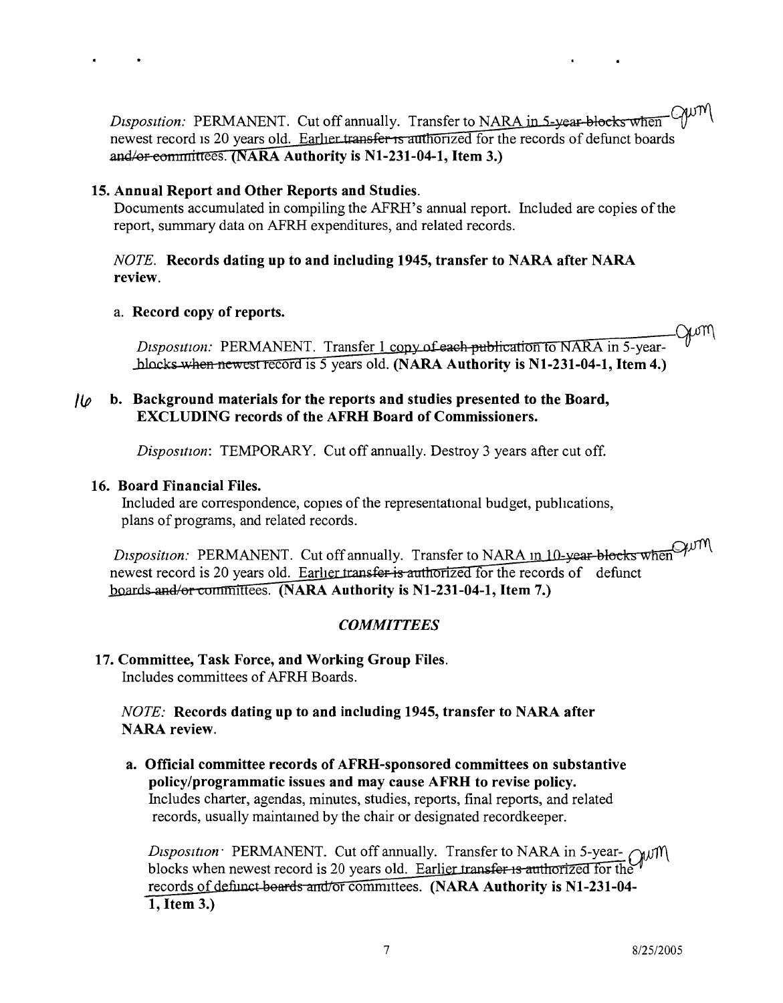*Disposition:* PERMANENT. Cut off annually. Transfer to NARA in 5-year-blocks when  $\bigcirc$ newest record is 20 years old. Earlier transfer is authorized for the records of defunct boards **ARA Authority is NI-231-04-1, Item 3.}**

#### **15. Annual Report and Other Reports and Studies.**

Documents accumulated in compiling the AFRH's annual report. Included are copies of the report, summary data on AFRH expenditures, and related records.

#### *NOTE.* **Records dating up to and including 1945, transfer to NARA after NARA review.**

#### a. **Record copy of reports.**

.<br>Gum Disposition: PERMANENT. Transfer 1 conv of each publication to NARA in 5-yearblocks-when newest record is 5 years old. (NARA Authority is N1-231-04-1, Item 4.)

#### **/(p b. Background materials for the reports and studies presented to the Board, EXCLUDING records of the AFRH Board of Commissioners.**

*Disposition:* TEMPORARY. Cut off annually. Destroy 3 years after cut off.

#### **16. Board Financial Files.**

Included are correspondence, copies of the representational budget, pubhcations, plans of programs, and related records.

*Disposition:* PERMANENT. Cut off annually. Transfer to NARA in 10-year-blocks when  $\mathcal{W}^{\text{MM}}$ newest record is 20 years old. Earlier transfer is authorized for the records of defunct boards and/or committees. (NARA Authority is N1-231-04-1, Item 7.)

#### *COMMITTEES*

## **17. Committee, Task Force, and Working Group Files.**

Includes committees of AFRH Boards.

#### *NOTE:* **Records dating up to and including 1945, transfer to NARA after NARA review.**

**a. Official committee records of AFRH-sponsored committees on substantive policy/programmatic issues and may cause AFRH to revise policy.** Includes charter, agendas, minutes, studies, reports, final reports, and related records, usually maintamed by the chair or designated recordkeeper.

*Disposition* PERMANENT. Cut off annually. Transfer to NARA in 5-year- *aJJ1N* blocks when newest record is 20 years old. Earlier transfer is authorized for the records of definet boards and/or committees. **(NARA Authority is N1-231-04-1, Item 3.)**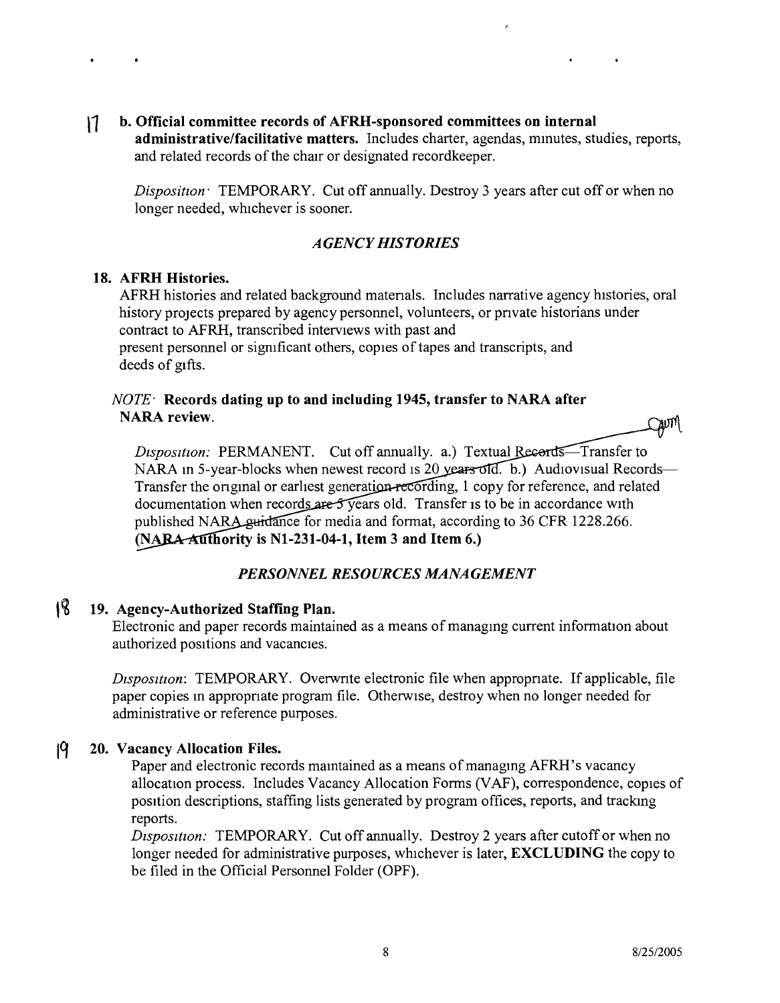NWML

#### **b. Official committee records of AFRH-sponsored committees on internal** <sup>11</sup> **administrative/facilitative matters.** Includes charter, agendas, mmutes, studies, reports, and related records of the chair or designated recordkeeper.

*Disposition:* TEMPORARY. Cut off annually. Destroy 3 years after cut off or when no longer needed, whichever is sooner.

#### *AGENCY HISTORIES*

#### **18. AFRH Histories.**

AFRH histories and related background matenals. Includes narrative agency histories, oral history projects prepared by agency personnel, volunteers, or pnvate historians under contract to AFRH, transcribed interviews with past and present personnel or significant others, copies of tapes and transcripts, and deeds of gifts.

#### *NOTE-Records* **dating up to and including 1945, transfer to NARA after NARA review.**

*Disposition:* PERMANENT. Cut off annually. a.) Textual NARA in 5-year-blocks when newest record is 20 years old. b.) Audiovisual Records-Transfer the original or earliest generation recording, 1 copy for reference, and related documentation when records are  $5$  years old. Transfer is to be in accordance with published NARA guidance for media and format, according to 36 CFR 1228.266. **(N ority is Nl-231-04-1, Item 3 and Item 6.)**

### *PERSONNEL RESOURCES MANAGEMENT*

## **,~ 19. Agency-Authorized Staffing Plan.**

Electronic and paper records maintained as a means of managmg current information about authorized positions and vacancies.

*Dtsposuion:* TEMPORARY. Overwnte electronic file when appropnate. If applicable, file paper copies m appropnate program file. Otherwise, destroy when no longer needed for administrative or reference purposes.

#### **Iq 20. Vacancy Allocation Files.**

Paper and electronic records maintained as a means of managing AFRH's vacancy allocation process. Includes Vacancy Allocation Forms (VAF), correspondence, copies of position descriptions, staffing lists generated by program offices, reports, and trackmg reports.

*Dtsposttion:* TEMPORARY. Cut off annually. Destroy 2 years after cutoff or when no longer needed for administrative purposes, whichever is later, **EXCLUDING** the copy to be filed in the Official Personnel Folder (OPF).

 $\bigcirc$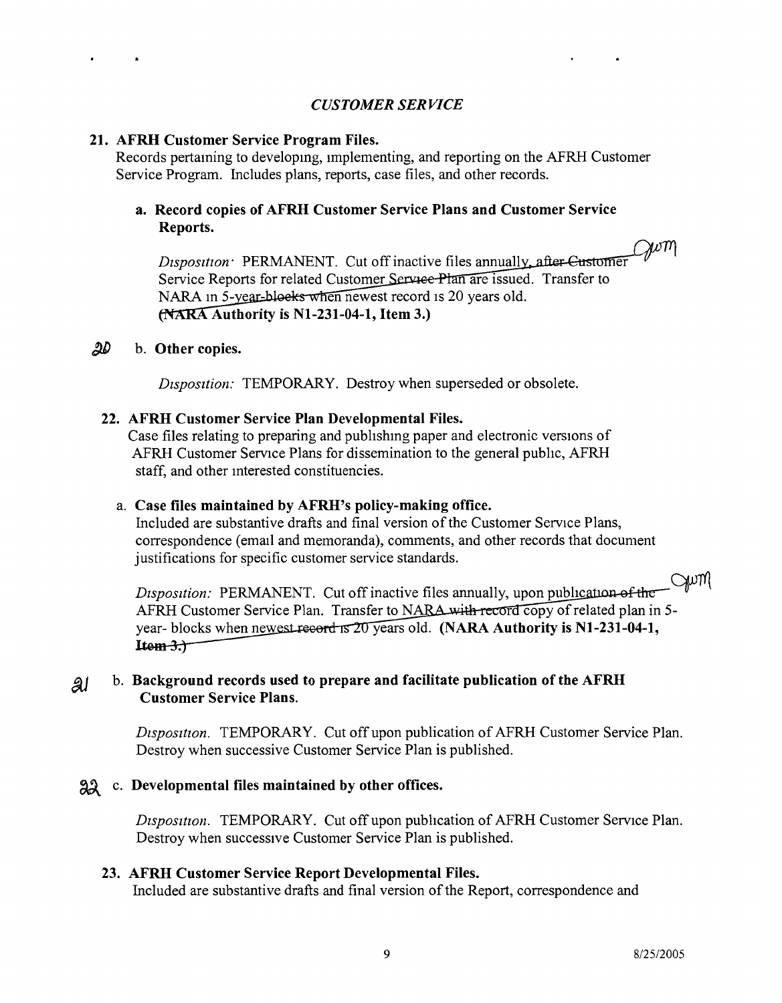#### *CUSTOMER SERVICE*

#### **21. AFRH Customer Service Program Files.**

Records pertaming to developmg, Implementing, and reporting on the AFRH Customer Service Program. Includes plans, reports, case files, and other records.

#### **a. Record copies of AFRH Customer Service Plans and Customer Service Reports.**

 $Q\nu m$ *Disposition:* PERMANENT. Cut off inactive files annuall Service Reports for related Customer Service Plan are issued. Transfer to NARA in 5-year-blocks when newest record is 20 years old. **Authority is Nl-231-04-1, Item 3.)**

#### ~ b. **Other copies.**

*Dtsposttion:* TEMPORARY. Destroy when superseded or obsolete.

#### **22. AFRH Customer Service Plan Developmental Files.**

Case files relating to preparing and pubhshmg paper and electronic versions of AFRH Customer Service Plans for dissemination to the general pubhc, AFRH staff, and other mterested constituencies.

#### a. **Case files maintained by AFRH's policy-making office.**

Included are substantive drafts and final version of the Customer Service Plans, correspondence (email and memoranda), comments, and other records that document justifications for specific customer service standards.

gum *Disposition:* PERMANENT. Cut off inactive files annually, upon publication of the AFRH Customer Service Plan. Transfer to NARA with record copy of related plan in 5year- blocks when new est record is 20 years old. (NARA Authority is N1-231-04-1,  $Item-3.7$ 

#### b. **Background records used to prepare and facilitate publication of the AFRH** ai **Customer Service Plans.**

*Dtspositton.* TEMPORARY. Cut off upon publication of AFRH Customer Service Plan. Destroy when successive Customer Service Plan is published.

#### AA c. **Developmental files maintained by other offices.**

*Disposition.* TEMPORARY. Cut off upon publication of AFRH Customer Service Plan. Destroy when successive Customer Service Plan is published.

#### **23. AFRH Customer Service Report Developmental Files.**

Included are substantive drafts and final version of the Report, correspondence and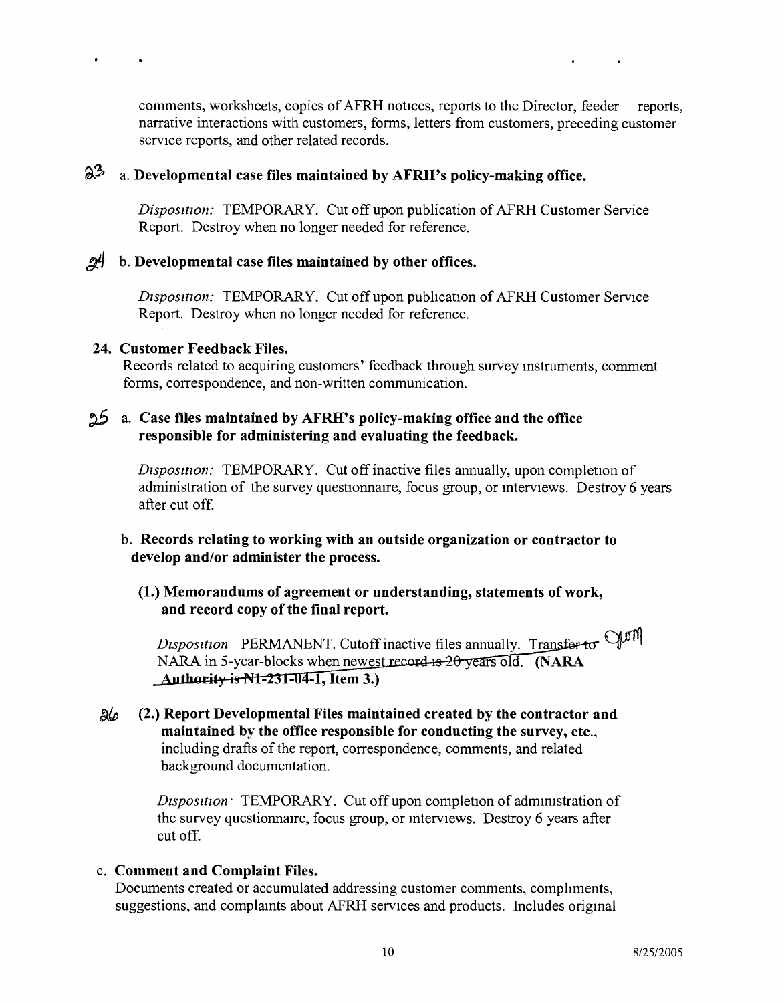comments, worksheets, copies of AFRH notices, reports to the Director, feeder reports, narrative interactions with customers, forms, letters from customers, preceding customer service reports, and other related records.

## ~3. a. **Developmental case files maintained by AFRH's policy-making office.**

*Disposition:* TEMPORARY. Cut off upon publication of AFRH Customer Service Report. Destroy when no longer needed for reference.

#### *B4* b. **Developmental case files maintained by other offices.**

*Disposttion:* TEMPORARY. Cut off upon pubhcation of AFRH Customer Service Report. Destroy when no longer needed for reference.

#### **24. Customer Feedback Files.**

I

Records related to acquiring customers' feedback through survey mstruments, comment forms, correspondence, and non-written communication.

#### ;).5 a. **Case files maintained by AFRH's policy-making office and the office responsible for administering and evaluating the feedback.**

*Dtsposition:* TEMPORARY. Cut off inactive files annually, upon completion of administration of the survey questionnaire, focus group, or interviews. Destroy 6 years after cut off.

#### b. **Records relating to working with an outside organization or contractor to develop and/or administer the process.**

#### **(1.) Memorandums of agreement or understanding, statements of work, and record copy of the final report.**

*Disposition* PERMANENT. Cutoff inactive files annually. Transfer to QUIM NARA in 5-year-blocks when newest record is 20 years old. (NARA **Authority is N1-231-04-1, Item 3.)** 

*~(p* **(2.) Report Developmental Files maintained created by the contractor and maintained by the office responsible for conducting the survey,** etc., including drafts of the report, correspondence, comments, and related background documentation.

> *Disposition* **TEMPORARY.** Cut off upon completion of administration of the survey questionnaire, focus group, or interviews. Destroy 6 years after cut off.

#### c. **Comment and Complaint Files.**

Documents created or accumulated addressing customer comments, compliments, suggestions, and complamts about AFRH services and products. Includes origmal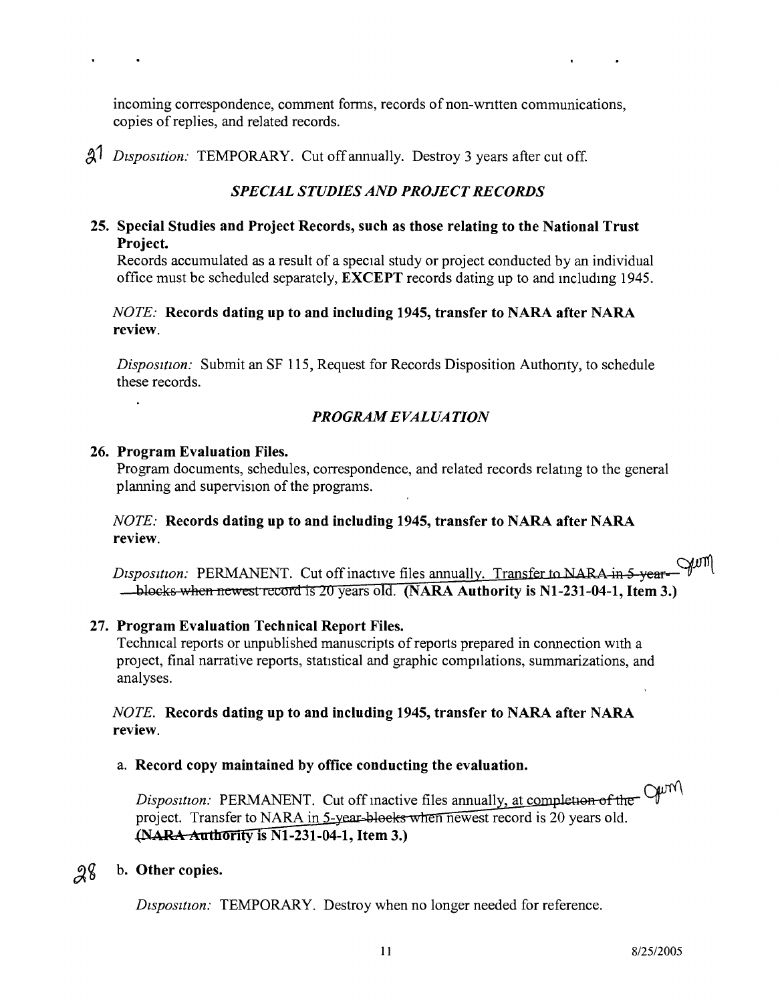incoming correspondence, comment forms, records of non-written communications, copies of replies, and related records.

A<sup>1</sup> *Disposition:* TEMPORARY. Cut off annually. Destroy 3 years after cut off.

#### *SPECIAL STUDIES AND PROJECT RECORDS*

#### 25. Special Studies and Project Records, such as those relating to the National Trust Project.

Records accumulated as a result of a special study or project conducted by an individual office must be scheduled separately, EXCEPT records dating up to and mcludmg 1945.

#### *NOTE:* Records dating up to and including 1945, transfer to NARA after NARA review.

*Disposition:* Submit an SF 115, Request for Records Disposition Authonty, to schedule these records.

#### *PROGRAM EVALUATION*

#### 26. Program Evaluation Files.

Program documents, schedules, correspondence, and related records relatmg to the general planning and supervision of the programs.

#### *NOTE:* Records dating up to and including 1945, transfer to NARA after NARA review.

 $\sim$ Disposition: PERMANENT. Cut off inactive files annually. Transfer to NARA in 5-year-- blocks when newest record is 20 years old. (NARA Authority is N1-231-04-1, Item 3.)

#### 27. Program Evaluation Technical Report Files.

Techmcal reports or unpublished manuscripts of reports prepared in connection WIth a project, final narrative reports, statistical and graphic compilations, summarizations, and analyses.

#### *NOTE.* Records dating up to and including 1945, transfer to NARA after NARA review.

#### a. Record copy maintained by office conducting the evaluation.

*Disposition:* PERMANENT. Cut off inactive files annually, at completion of the  $Q\nu m$ project. Transfer to NARA in 5-year-blocks when newest record is 20 years old.  $[NARA-Authority]$  is  $N1-231-04-1$ , Item 3.)

## $28$  b. Other copies.

*Dtspositton:* TEMPORARY. Destroy when no longer needed for reference.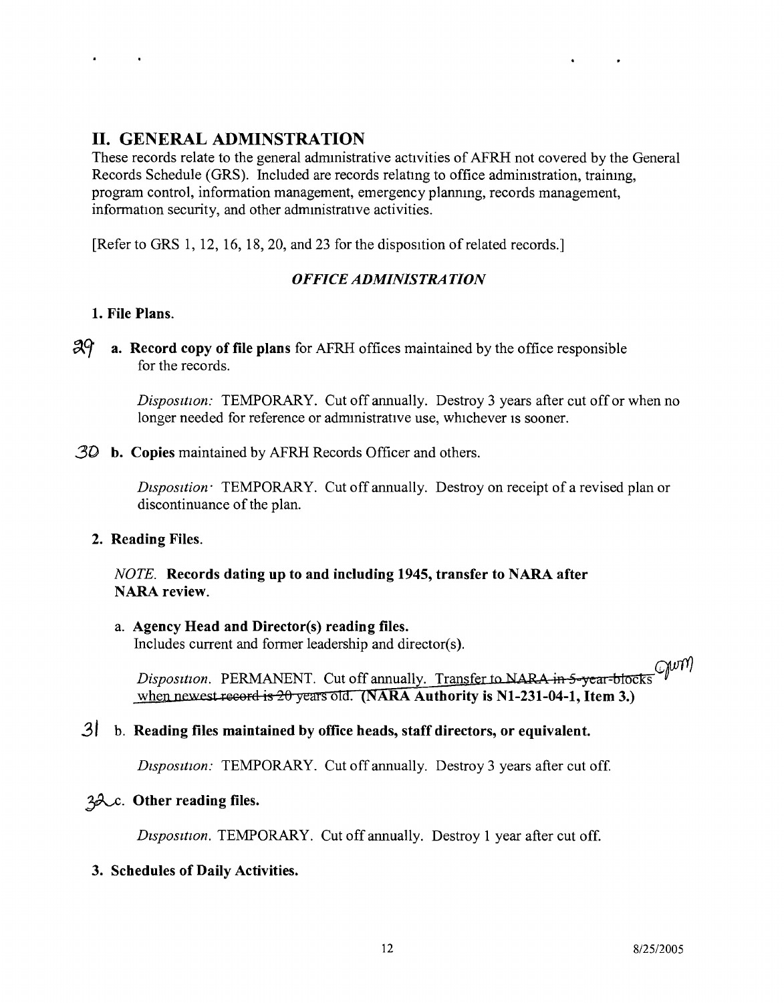## **II. GENERAL ADMINSTRATION**

These records relate to the general admmistrative activities of AFRH not covered by the General Records Schedule (GRS). Included are records relating to office admimstration, training, program control, information management, emergency plannmg, records management, information security, and other administrative activities.

[Refer to GRS 1, 12, 16, 18, 20, and 23 for the disposition of related records.]

### *OFFICE ADMINISTRATION*

#### **1. File Plans.**

*:zAer* **a. Record copy of file plans** for AFRH offices maintained by the office responsible for the records.

> *Disposition:* TEMPORARY. Cut off annually. Destroy 3 years after cut off or when no longer needed for reference or administrative use, whichever is sooner.

*3D* **b. Copies** maintained by AFRH Records Officer and others.

*Disposition* **TEMPORARY.** Cut off annually. Destroy on receipt of a revised plan or discontinuance of the plan.

**2. Reading Files.**

*NOTE.* **Records dating up to and including 1945, transfer to NARA after NARA review.**

## a. **Agency Head and Director(s) reading files.**

Includes current and former leadership and director(s).

*Disposition.* PERMANENT. Cut off annually. Transfer to NARA in 5-vear-blocks when newest record is  $20$  years old. (NARA Authority is N1-231-04-1, Item 3.)

## **3/ b. Reading files maintained by office heads, staff directors, or equivalent.**

*Disposition:* TEMPORARY. Cut off annually. Destroy 3 years after cut off.

### **~. Other reading files.**

*Disposition.* TEMPORARY. Cut off annually. Destroy 1 year after cut off.

#### **3. Schedules of Daily Activities.**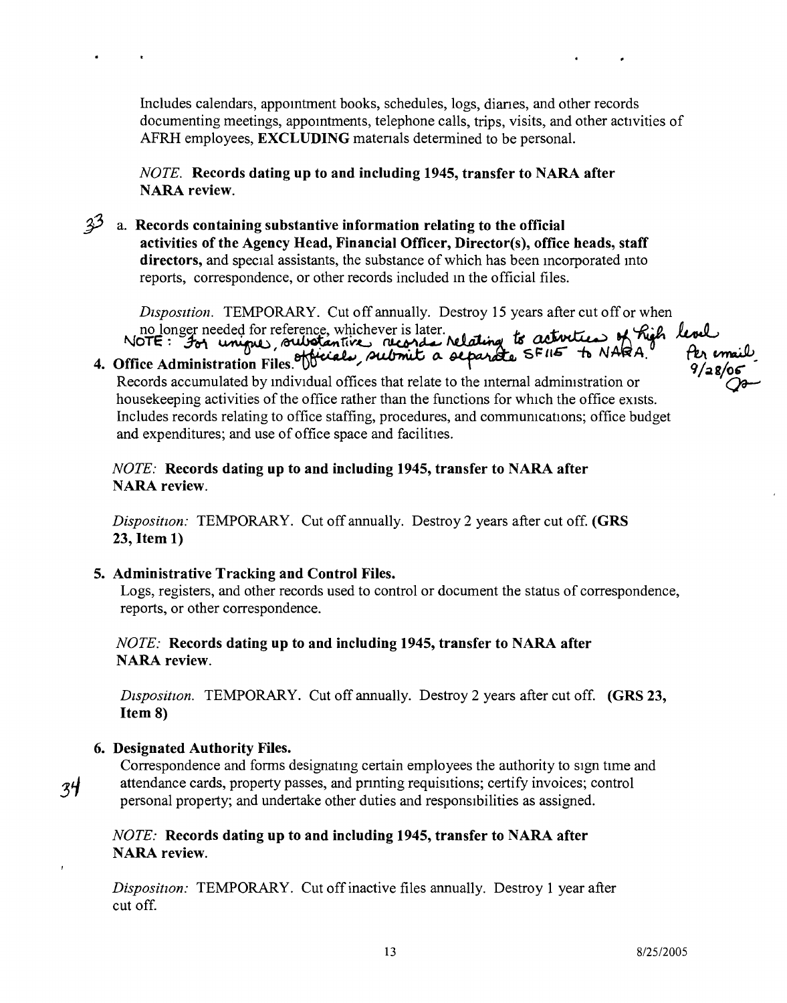Includes calendars, appomtment books, schedules, logs, dianes, and other records documenting meetings, appointments, telephone calls, trips, visits, and other activities of AFRH employees, EXCLUDING matenals determined to be personal.

*NOTE.* Records dating up to and including 1945, transfer to NARA after NARA review.

 $3<sup>3</sup>$  a. Records containing substantive information relating to the official activities of the Agency Head, Financial Officer, Director(s), office heads, staff directors, and special assistants, the substance of which has been mcorporated mto reports, correspondence, or other records included in the official files.

*Disposition.* TEMPORARY. Cut off annually. Destroy 15 years after cut off or when no longer needed for reference, whichever is later.<br>NOTE: For unique, outvotantive records relating to activities of high level

NOTE: 301 uniques, substantives records relating to the To NARA.<br>Office Administration Files. We calcumulated by individual offices that relate to the internal administration or housekeeping activities of the office rather than the functions for which the office exists. Includes records relating to office staffing, procedures, and communications; office budget and expenditures; and use of office space and facilities.

*NOTE:* Records dating up to and including 1945, transfer to NARA after NARA review.

*Disposition:* TEMPORARY. Cut off annually. Destroy 2 years after cut off. (GRS 23, Item 1)

5. Administrative Tracking and Control Files.

Logs, registers, and other records used to control or document the status of correspondence, reports, or other correspondence.

*NOTE:* Records dating up to and including 1945, transfer to NARA after NARA review.

*Disposition.* TEMPORARY. Cut off annually. Destroy 2 years after cut off. **(GRS 23,** Item 8)

#### 6. Designated Authority Files.

 $34$ 

Correspondence and forms designating certain employees the authority to sign time and attendance cards, property passes, and pnnting requisitions; certify invoices; control personal property; and undertake other duties and responsibilities as assigned.

*NOTE:* Records dating up to and including 1945, transfer to NARA after NARA review.

*Disposition:* TEMPORARY. Cut off inactive files annually. Destroy 1 year after cut off.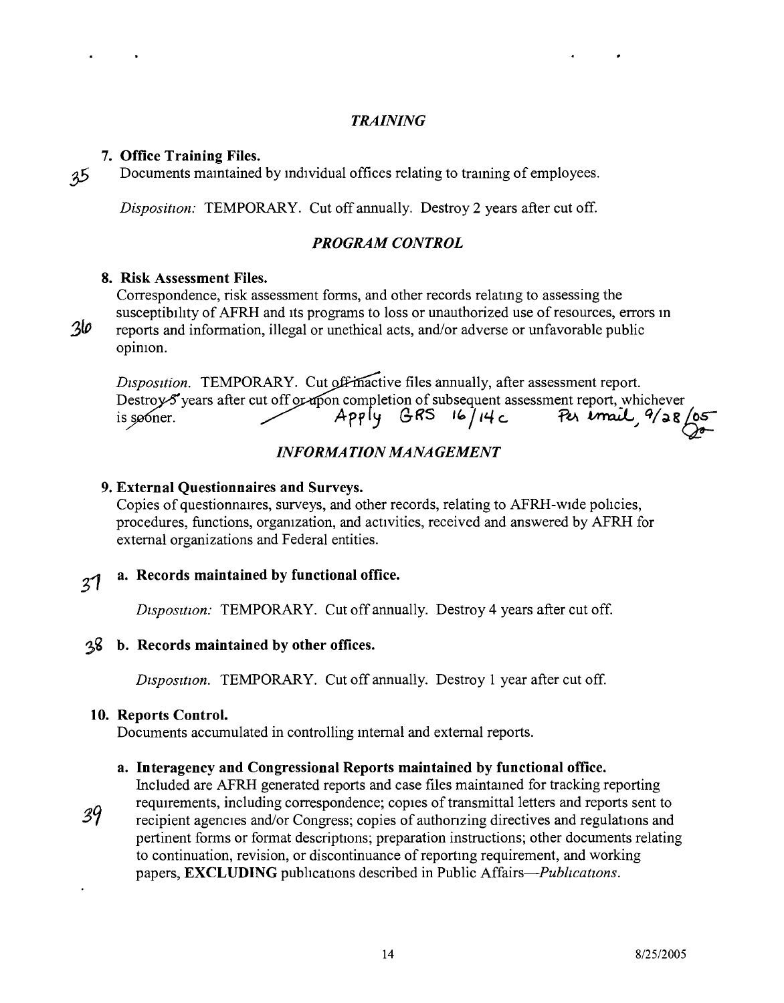#### *TRAINING*

#### 7. Office Training Files.

.35 Documents mamtained by individual offices relating to traming of employees.

*Disposition:* TEMPORARY. Cut off annually. Destroy 2 years after cut off.

#### *PROGRAM CONTROL*

#### 8. Risk Assessment Files.

Correspondence, risk assessment forms, and other records relatmg to assessing the susceptibility of AFRH and Its programs to loss or unauthorized use of resources, errors in reports and information, illegal or unethical acts, and/or adverse or unfavorable public opinion.

 $30<sub>o</sub>$ 

*Disposition.* TEMPORARY. Cut off-inactive files annually, after assessment report. Example to the sammally, after assessment report.<br>
Apply GRS 16/14 c, *Put imail*, 9/28/05 years after cut off or upon completion of subsequent assessment report, whicheve is sooner.

#### *INFORMATION MANAGEMENT*

#### 9. External Ouestionnaires and Surveys.

Copies of questionnaires, surveys, and other records, relating to AFRH-wide policies, procedures, functions, organization, and activities, received and answered by AFRH for external organizations and Federal entities.

#### a. Records maintained by functional office.

 $31$ 

#### Disposition: TEMPORARY. Cut off annually. Destroy 4 years after cut off.

#### ~~ b. Records maintained by other offices.

*Disposition.* TEMPORARY. Cut off annually. Destroy 1 year after cut off.

#### 10. Reports Control.

Documents accumulated in controlling mternal and external reports.

#### a. Interagency and Congressional Reports maintained by functional office.

Included are AFRH generated reports and case files maintamed for tracking reporting requirements, including correspondence; copres of transmittal letters and reports sent to

39

recipient agencies and/or Congress; copies of authonzing directives and regulations and pertinent forms or format descriptions; preparation instructions; other documents relating to continuation, revision, or discontinuance of reportmg requirement, and working papers, **EXCLUDING** publications described in Public Affairs-*Publications*.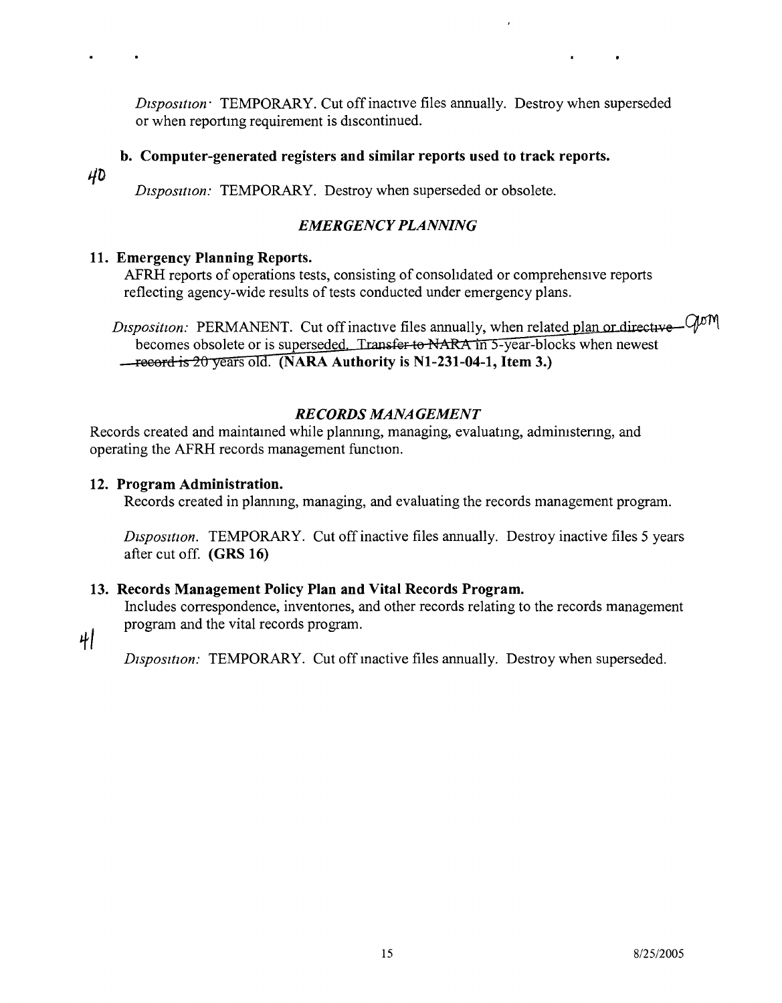*Disposition* TEMPORARY. Cut off inactive files annually. Destroy when superseded or when reportmg requirement is discontinued.

#### **b. Computer-generated registers and similar reports used to track reports.**

40

*Disposition:* TEMPORARY. Destroy when superseded or obsolete.

#### *EMERGENCY PLANNING*

#### **11. Emergency Planning Reports.**

AFRH reports of operations tests, consisting of consolidated or comprehensive reports reflecting agency-wide results of tests conducted under emergency plans.

Disposition: PERMANENT. Cut off inactive files annually, when related plan or directive - GOM becomes obsolete or is superseded. Transfer to NARA in 5-year-blocks when newest -record is 20 years old. (NARA Authority is N1-231-04-1, Item 3.)

#### *RECORDS MANAGEMENT*

Records created and maintamed while plannmg, managing, evaluatmg, admimstenng, and operating the AFRH records management function.

#### **12. Program Administration.**

Records created in planning, managing, and evaluating the records management program.

*Disposition.* TEMPORARY. Cut off inactive files annually. Destroy inactive files 5 years after cut off. **(GRS 16)**

#### **13. Records Management Policy Plan and Vital Records Program.**

Includes correspondence, inventones, and other records relating to the records management program and the vital records program.

41

*Disposition:* TEMPORARY. Cut off inactive files annually. Destroy when superseded.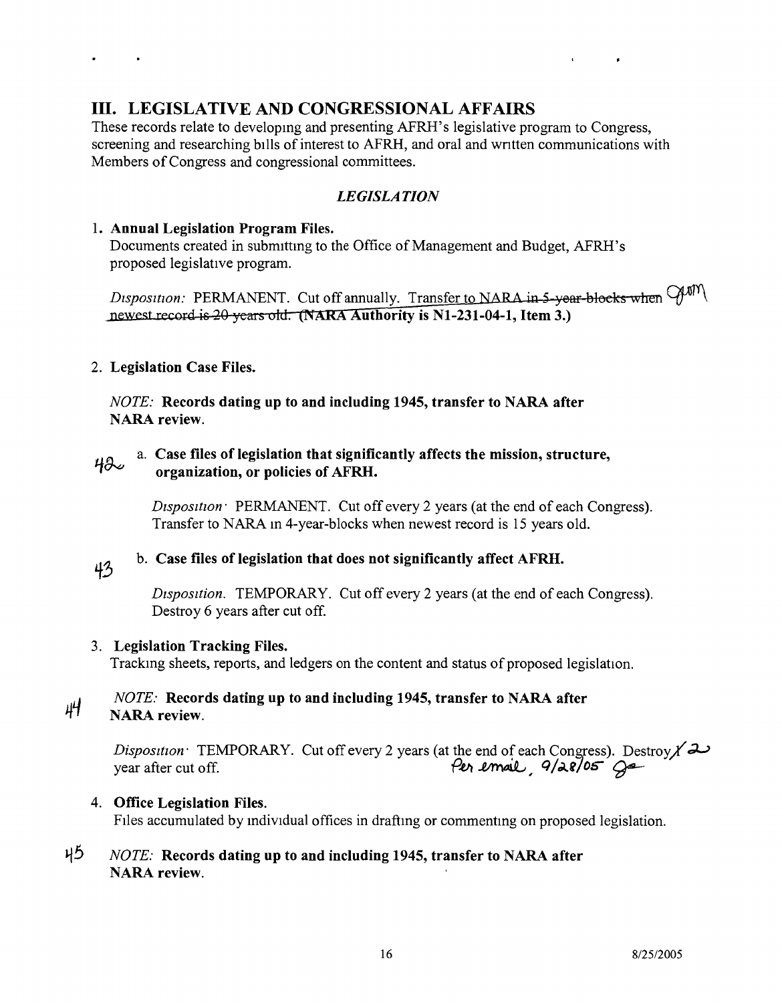## **III. LEGISLATIVE AND CONGRESSIONAL AFFAIRS**

These records relate to developing and presenting AFRH's legislative program to Congress, screening and researching bills of interest to AFRH, and oral and wntten communications with Members of Congress and congressional committees.

### *LEGISLATION*

#### 1. **Annual Legislation Program Files.**

Documents created in submitting to the Office of Management and Budget, AFRH's proposed legislative program.

Disposition: PERMANENT. Cut off annually. Transfer to NARA in 5-year-blocks when  $\mathcal{G}^{\text{MM}}$ newest record is 20 years old. (NARA Authority is N1-231-04-1, Item 3.)

#### 2. **Legislation Case Files.**

*NOTE:* **Records dating up to and including 1945, transfer to NARA after NARA review.**

#### L!~ a. **Case files of legislation that significantly affects the mission, structure,** *~I* **organization, or policies of AFRH.**

*Disposition:* PERMANENT. Cut off every 2 years (at the end of each Congress). Transfer to NARA in 4-year-blocks when newest record is 15 years old.

### b. **Case files of legislation that does not significantly affect AFRH.**

43

*Dtsposttion.* TEMPORARY. Cut off every 2 years (at the end of each Congress). Destroy 6 years after cut off.

#### 3. **Legislation Tracking Files.**

Tracking sheets, reports, and ledgers on the content and status of proposed legislation.

#### *NOTE:* **Records dating up to and including 1945, transfer to NARA after** 44 **NARA review.**

*Disposition:* TEMPORARY. Cut off every 2 years (at the end of each Congress). Destroy  $\chi$ year after cut off. *Per email 9/28/05 G* 

#### 4. **Office Legislation Files.**

Files accumulated by individual offices in drafting or commenting on proposed legislation.

#### 4~ *NOTE:* **Records dating up to and including 1945, transfer to NARA after NARA review.**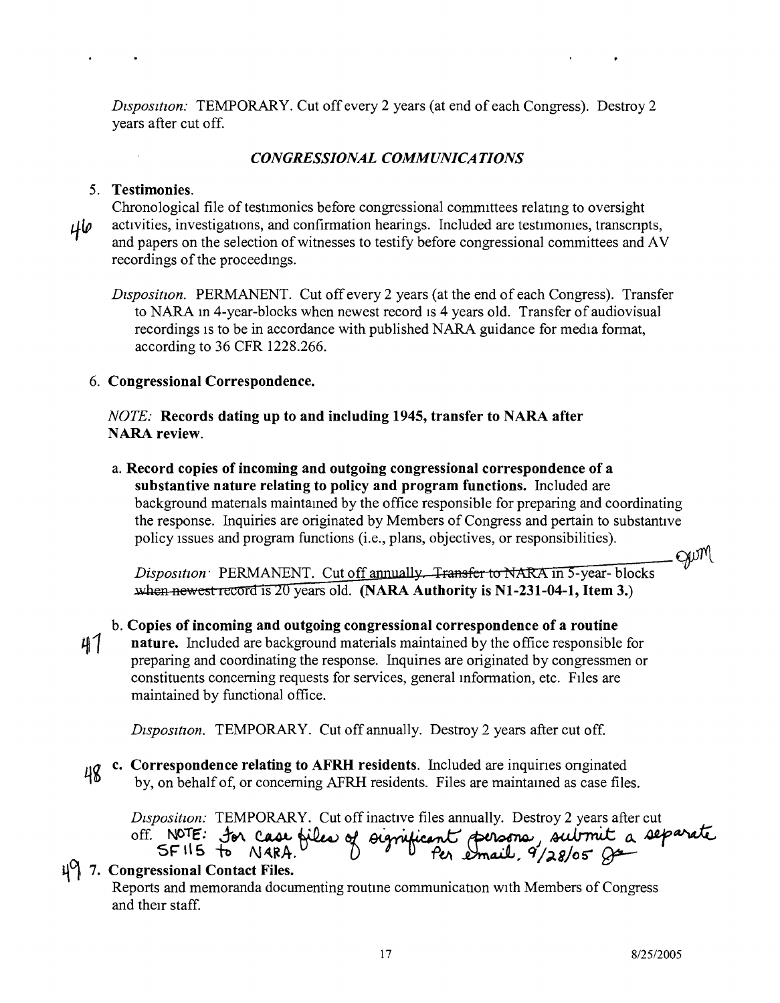*Dtspositton:* TEMPORARY. Cut off every 2 years (at end of each Congress). Destroy 2 years after cut off.

#### *CONGRESSIONAL COMMUNICATIONS*

#### 5. Testimonies.

Chronological file of testimonies before congressional committees relatmg to oversight *qlP* activities, investigations, and confirmation hearings. Included are testimomes, transcnpts, and papers on the selection of witnesses to testify before congressional committees and AV recordings of the proceedmgs.

*Disposition.* PERMANENT. Cut off every 2 years (at the end of each Congress). Transfer to NARA in 4-year-blocks when newest record is 4 years old. Transfer of audiovisual recordings is to be in accordance with published NARA guidance for media format, according to 36 CFR 1228.266.

#### 6. Congressional Correspondence.

*NOTE:* Records dating up to and including 1945, transfer to NARA after NARA review.

a. Record copies of incoming and outgoing congressional correspondence of a substantive nature relating to policy and program functions. Included are background materials maintained by the office responsible for preparing and coordinating the response. Inquiries are originated by Members of Congress and pertain to substantive policy Issues and program functions (i.e., plans, objectives, or responsibilities). gum

*Disposition:* PERMANENT. Cut off annually. Transfer to NARA in 5-year-blocks  $Dispo$ <br>when xtition: PERMANENT. Cut off annually. Transfer to NARA in 5-year-blockhard method. Transfer to NARA in 5-year-blockhard method.

#### b. Copies of incoming and outgoing congressional correspondence of a routine

 $41$ nature. Included are background materials maintained by the office responsible for preparing and coordinating the response. Inquines are originated by congressmen or constituents concerning requests for services, general mformation, etc. FIles are maintained by functional office.

*Disposition.* TEMPORARY. Cut off annually. Destroy 2 years after cut off.

*IIG* c. Correspondence relating to AFRH residents. Included are inquiries originated by, on behalf of, or concerning AFRH residents. Files are maintamed as case files. 48

*Disposition:* TEMPORARY. Cut off inactive files annually. Destroy 2 years after cut off. NOTE: for case files of orgrificant persons, submit a separate

#### $\mathfrak{g}\mathfrak{g}$  7. Congressional Contact Files.

Reports and memoranda documenting routme communication WIth Members of Congress and their staff.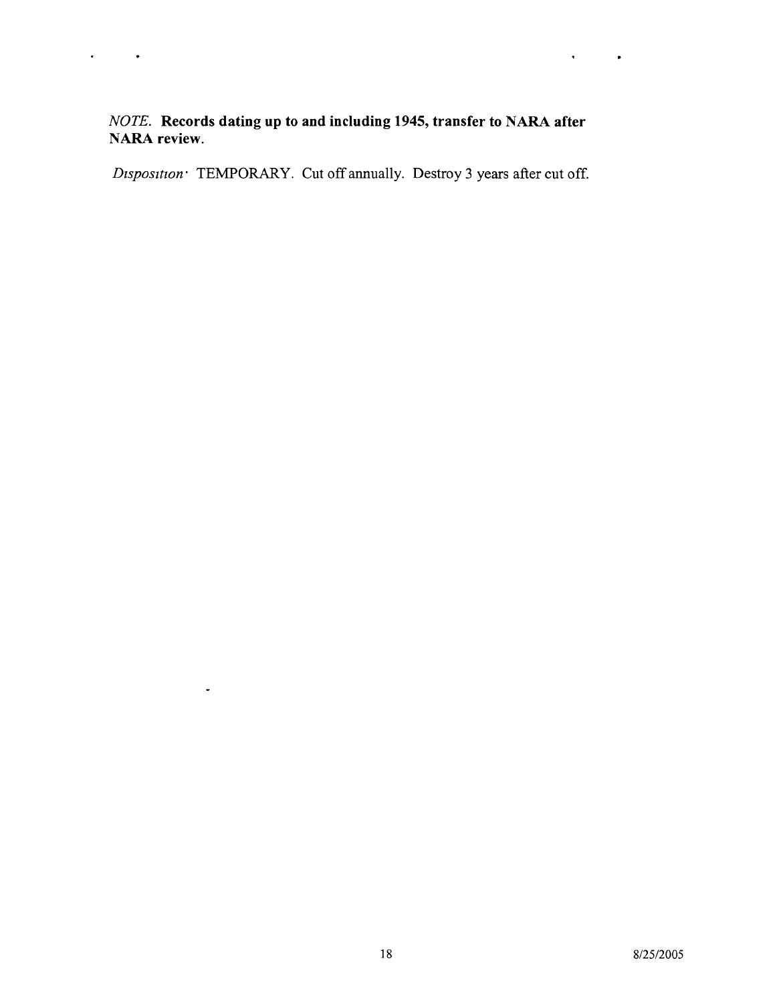$\ddot{\phantom{0}}$ 

#### *NOTE.* **Records dating up to and including 1945, transfer to NARA after NARA review.**

 $\ddot{\phantom{a}}$ 

 $\bullet$ 

 $\downarrow$ 

*Disposition* TEMPORARY. Cut off annually. Destroy 3 years after cut off.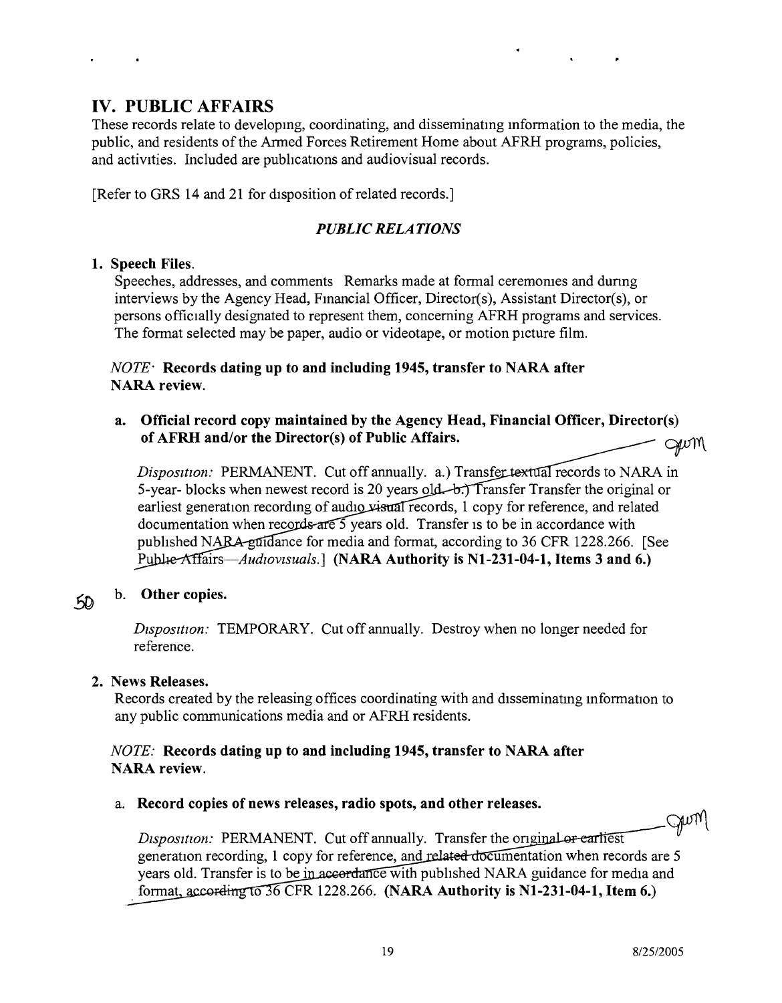## IV. PUBLIC AFFAIRS

These records relate to developing, coordinating, and disseminating mformation to the media, the public, and residents of the Armed Forces Retirement Home about AFRH programs, policies, and activities. Included are pubhcations and audiovisual records.

[Refer to GRS 14 and 21 for disposition of related records.]

#### *PUBLIC RELATIONS*

#### 1. Speech Files.

Speeches, addresses, and comments Remarks made at formal ceremomes and dunng interviews by the Agency Head, Fmancial Officer, Director(s), Assistant Director(s), or persons officially designated to represent them, concerning AFRH programs and services. The format selected may be paper, audio or videotape, or motion picture film.

#### *NOTE·* Records dating up to and including 1945, transfer to NARA after NARA review.

#### a. Official record copy maintained by the Agency Head, Financial Officer, Director(s) of AFRH and/or the Director(s) of Public Affairs. GWM

*Disposition:* PERMANENT. Cut off annually. a.) Transfer textual records to NARA in 5-year- blocks when newest record is 20 years old—b.) Transfer Transfer the original or earliest generation recording of audio visual records, 1 copy for reference, and related documentation when records are  $\frac{1}{2}$  years old. Transfer is to be in accordance with published NARA guidance for media and format, according to 36 CFR 1228.266. [See Publie-Affairs-*Audiovisuals.*] (NARA Authority is N1-231-04-1, Items 3 and 6.)

## $50$  b. Other copies.

*Disposition:* TEMPORARY. Cut off annually. Destroy when no longer needed for reference.

#### 2. News Releases.

Records created by the releasing offices coordinating with and disseminating mformation to any public communications media and or AFRH residents.

#### *NOTE:* Records dating up to and including 1945, transfer to NARA after NARA review.

#### a. Record copies of news releases, radio spots, and other releases.

Gum *Disposition:* PERMANENT. Cut off annually. Transfer the original or earliest generation recording, 1 copy for reference, and related documentation when records are 5 years old. Transfer is to be in accordance with published NARA guidance for media and format, according to  $36$  CFR 1228.266. (NARA Authority is N1-231-04-1, Item 6.)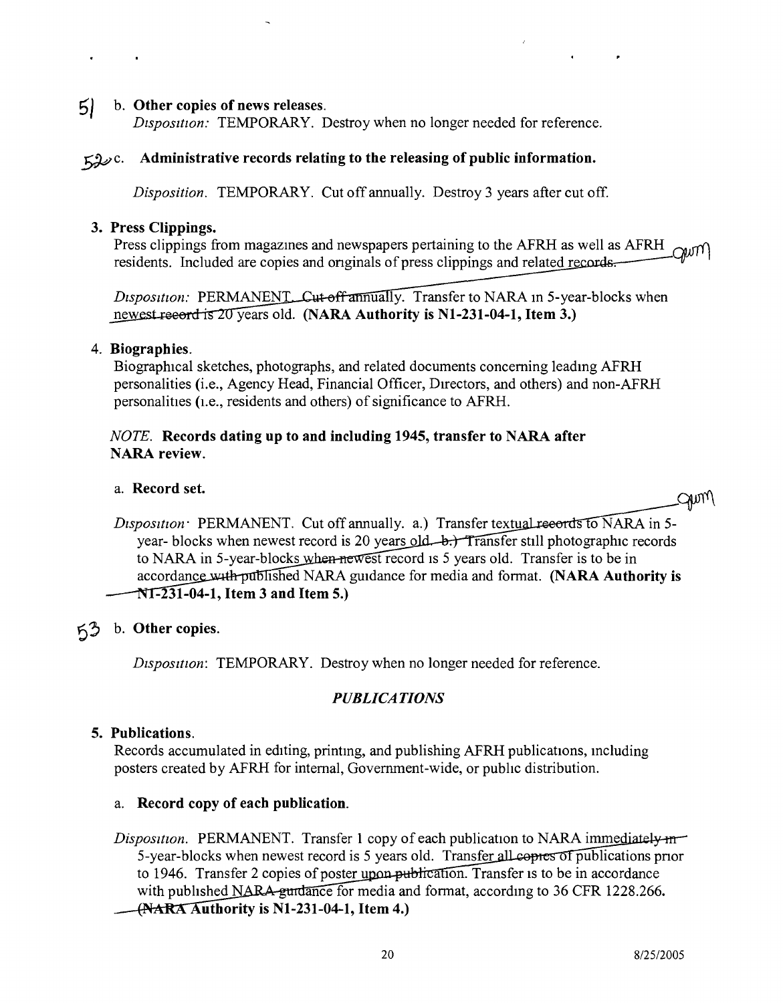#### $5$  b. Other copies of news releases.

*Dtsposttton:* TEMPORARY. Destroy when no longer needed for reference.

#### $\zeta$   $\mathcal{L}$ . Administrative records relating to the releasing of public information.

*Disposition.* TEMPORARY. Cut off annually. Destroy 3 years after cut off.

#### 3. Press Clippings.

Press clippings from magazines and newspapers pertaining to the AFRH as well as AFRH  $\sim$ residents. Included are copies and originals of press clippings and related records.

*Disposition:* PERMANENT, Cut-off annually. Transfer to NARA in 5-year-blocks when newest record is 20 years old. (NARA Authority is N1-231-04-1, Item 3.)

#### 4. Biographies.

Biographical sketches, photographs, and related documents concerning leadmg AFRH personalities (i.e., Agency Head, Financial Officer, DIrectors, and others) and non-AFRH personalities (i.e., residents and others) of significance to AFRH.

#### *NOTE.* Records dating up to and including 1945, transfer to NARA after NARA review.

#### a. Record set.

SAMM)

*Disposition* PERMANENT. Cut off annually. a.) Transfer textual records to NARA in 5year- blocks when newest record is 20 years old—b.) Transfer still photographic records to NARA in 5-year-blocks when newest record is 5 years old. Transfer is to be in accordance with published NARA guidance for media and format. (NARA Authority is  $NT-231-04-1$ , Item 3 and Item 5.)

#### 6?; b. Other copies.

*Disposition:* TEMPORARY. Destroy when no longer needed for reference.

#### *PUBLICATIONS*

#### 5. Publications.

Records accumulated in editing, printmg, and publishing AFRH publications, mcluding posters created by AFRH for internal, Government-wide, or public distribution.

#### a. Record copy of each publication.

*Disposition.* PERMANENT. Transfer 1 copy of each publication to NARA immediately  $m$ 5-year-blocks when newest record is 5 years old. Transfer all covers of publications prior to 1946. Transfer 2 copies of poster upon publication. Transfer is to be in accordance with published NARA-guidance for media and format, according to 36 CFR 1228.266. *---i~~~A* uthority is N1-231-04-1, Item 4.)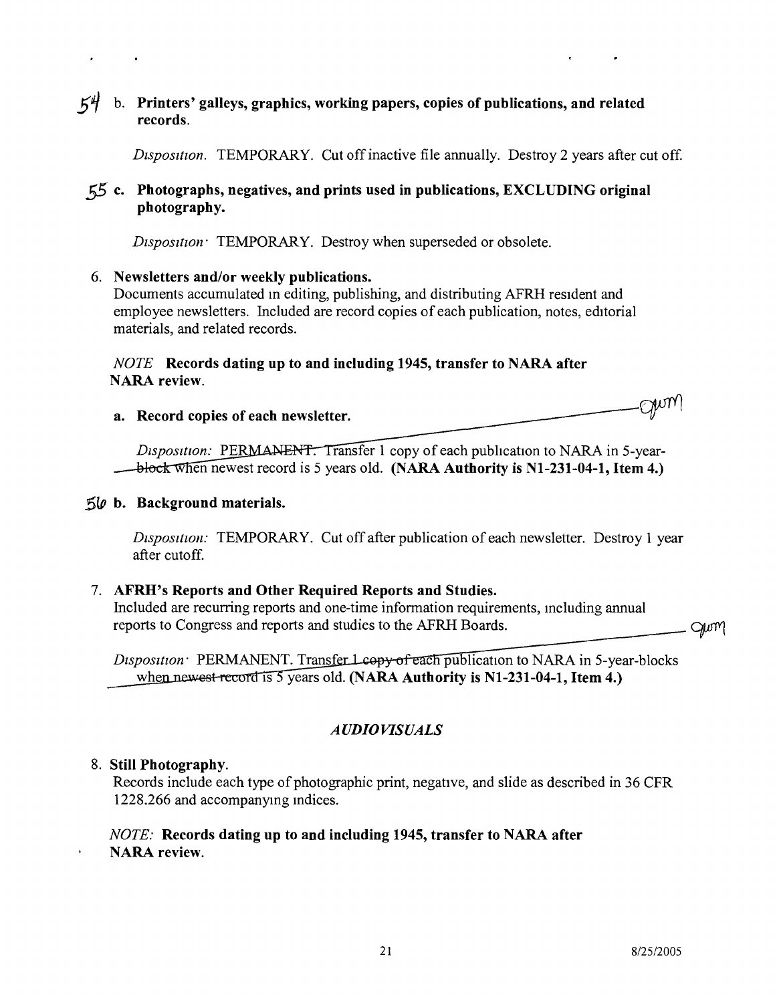### $54$  b. Printers' galleys, graphics, working papers, copies of publications, and related records.

*Disposition.* TEMPORARY. Cut off inactive file annually. Destroy 2 years after cut off.

#### 55 c. Photographs, negatives, and prints used in publications, EXCLUDING original photography.

*Disposition* **TEMPORARY**. Destroy when superseded or obsolete.

#### 6. Newsletters and/or weekly publications.

Documents accumulated m editing, publishing, and distributing AFRH resident and employee newsletters. Included are record copies of each publication, notes, editorial materials, and related records.

#### *NOTE* Records dating up to and including 1945, transfer to NARA after NARA review.

|                                      | $\cap$ NM) |
|--------------------------------------|------------|
| a. Record copies of each newsletter. |            |

*Disposition:* PERMANENT. Transfer 1 copy of each publication to NARA in 5-year- $\rightarrow$  block when newest record is 5 years old. (NARA Authority is N1-231-04-1, Item 4.)

#### $5\omega$  b. Background materials.

*Disposttion:* TEMPORARY. Cut off after publication of each newsletter. Destroy 1 year after cutoff.

#### 7. AFRH's Reports and Other Required Reports and Studies.

Included are recurring reports and one-time information requirements, including annual reports to Congress and reports and studies to the AFRH Boards.

Disposition PERMANENT. Transfer 1 copy of each publication to NARA in 5-year-blocks when newest record is 5 years old. (NARA Authority is N1-231-04-1, Item 4.)

### *AUDIOVISUALS*

#### 8. Still Photography.

 $\bar{\mathbf{r}}$ 

Records include each type of photographic print, negative, and slide as described in 36 CFR 1228.266 and accompanymg mdices.

#### *NOTE:* Records dating up to and including 1945, transfer to NARA after NARA review.

gum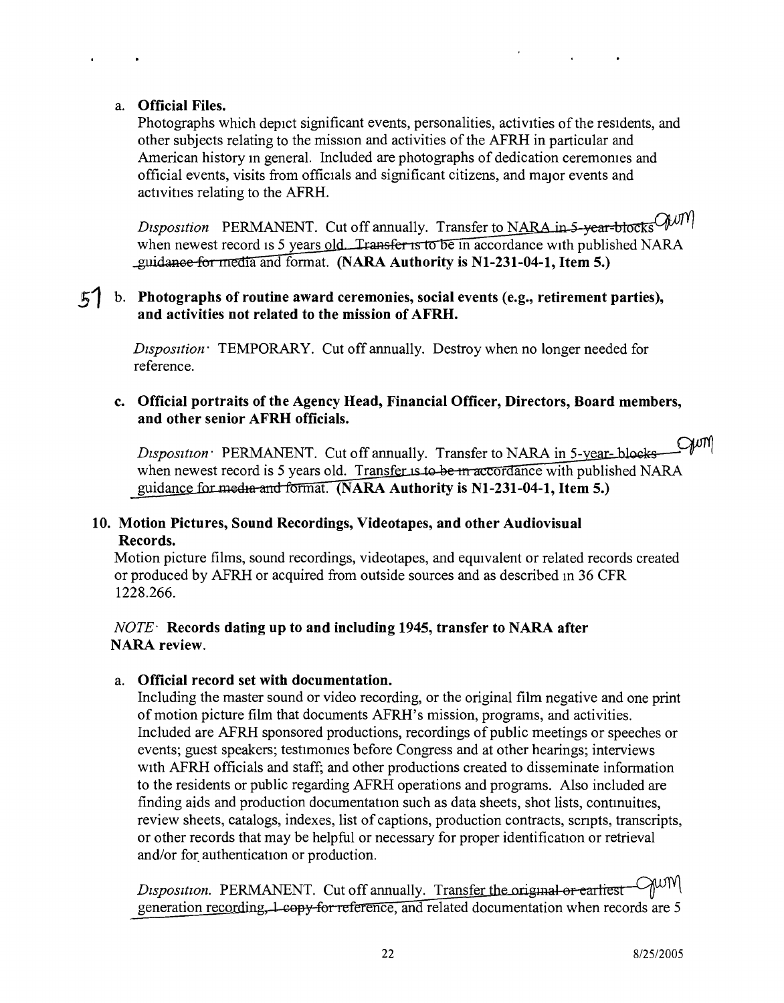#### a. **Official Files.**

Photographs which depict significant events, personalities, activities of the residents, and other subjects relating to the mission and activities of the AFRH in particular and American history m general. Included are photographs of dedication ceremomes and official events, visits from officials and significant citizens, and major events and activities relating to the AFRH.

*Disposition* PERMANENT. Cut off annually. Transfer to NARA in 5-year-blocks  $QWW$ when newest record is 5 years old. Transfer is to be in accordance with published NARA . ia and format. **(NARA Authority is NI-231-04-1, Item 5.)**

#### **51 b. Photographs of routine award ceremonies, social events (e.g., retirement parties), and activities not related to the mission of AFRH.**

*Dtsposition:* TEMPORARY. Cut off annually. Destroy when no longer needed for reference.

#### **c. Official portraits of the Agency Head, Financial Officer, Directors, Board members, and other senior AFRH officials.**

 $Q\nu n$ *Disposition:* PERMANENT. Cut off annually. Transfer to NARA in 5-year-blocks when newest record is 5 years old. Transfer is to be in accordance with published NARA guidance fa rmat. **(NARA Authority is NI-231-04-1, Item 5.)**

#### **10. Motion Pictures, Sound Recordings, Videotapes, and other Audiovisual Records.**

Motion picture films, sound recordings, videotapes, and equivalent or related records created or produced by AFRH or acquired from outside sources and as described m 36 CFR 1228.266.

#### *NOTE-* **Records dating up to and including 1945, transfer to NARA after NARA review.**

#### a. **Official record set with documentation.**

Including the master sound or video recording, or the original film negative and one print of motion picture film that documents AFRH's mission, programs, and activities. Included are AFRH sponsored productions, recordings of public meetings or speeches or events; guest speakers; testimomes before Congress and at other hearings; interviews with AFRH officials and staff; and other productions created to disseminate information to the residents or public regarding AFRH operations and programs. Also included are finding aids and production documentation such as data sheets, shot lists, contmuities, review sheets, catalogs, indexes, list of captions, production contracts, scnpts, transcripts, or other records that may be helpful or necessary for proper identificanon or retrieval and/or for authentication or production.

Disposition. PERMANENT. Cut off annually. Transfer the original or earliest MUM generation recording,  $1$ -copy-for reference, and related documentation when records are 5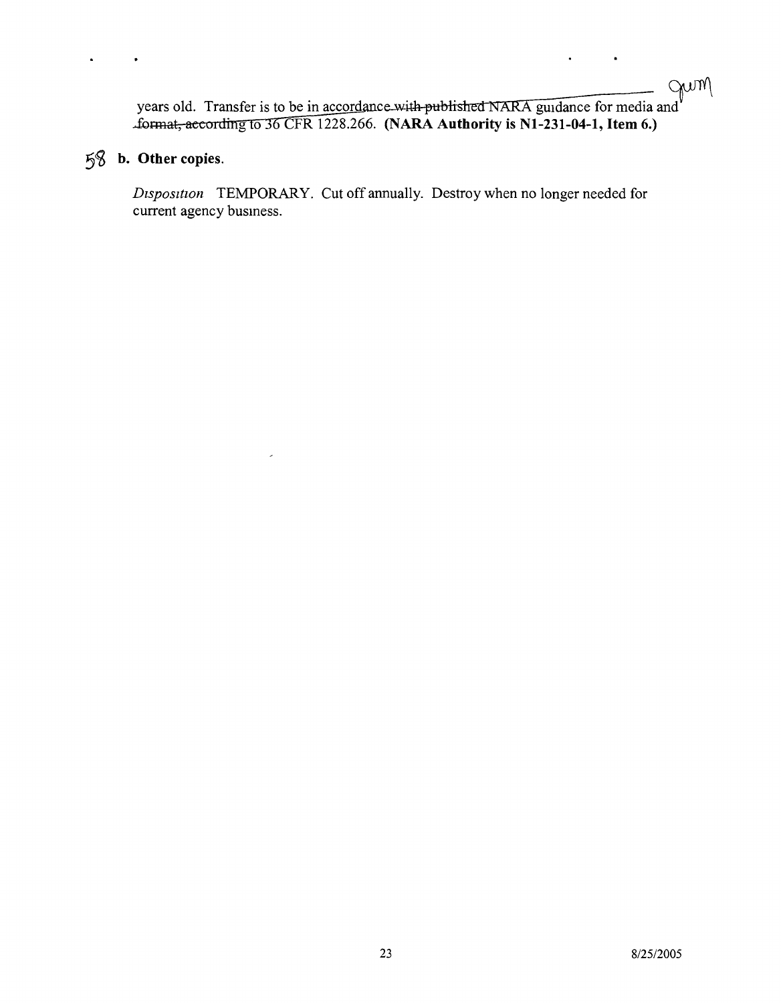# gum

 $\ddot{\phantom{a}}$ 

years old. Transfer is to be in accordance with published NARA guidance for media and .£oanat, eeeordrrrg to 36 CFR 1228.266. **(NARA Authority is Nl-231-04-1, Item 6.)**

## 5~ **b. Other copies.**

 $\bullet$ 

 $\ddot{\phantom{a}}$ 

*Disposition* TEMPORARY. Cut off annually. Destroy when no longer needed for current agency busmess.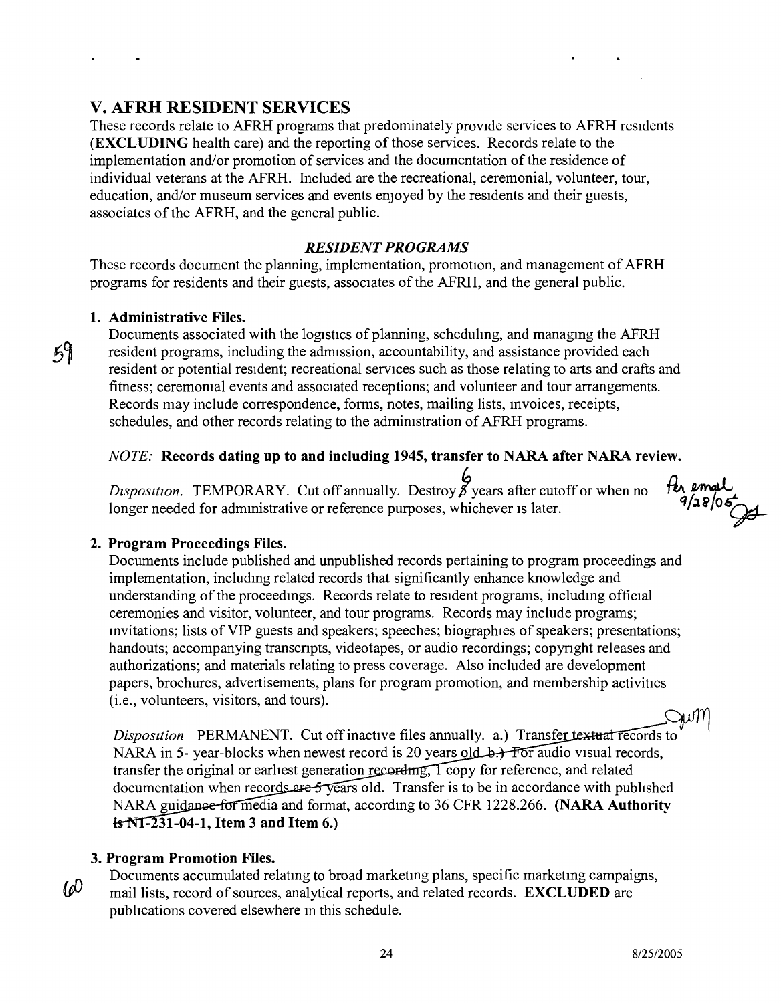## **V. AFRH RESIDENT SERVICES**

These records relate to AFRH programs that predominately provide services to AFRH residents **(EXCLUDING** health care) and the reporting of those services. Records relate to the implementation and/or promotion of services and the documentation of the residence of individual veterans at the AFRH. Included are the recreational, ceremonial, volunteer, tour, education, and/or museum services and events enjoyed by the residents and their guests, associates of the AFRH, and the general public.

#### *RESIDENT PROGRAMS*

These records document the planning, implementation, promotion, and management of AFRH programs for residents and their guests, associates of the AFRH, and the general public.

#### **1. Administrative Files.**

 $59$ 

Documents associated with the logistics of planning, scheduling, and managing the AFRH resident programs, including the admission, accountability, and assistance provided each resident or potential resident; recreational services such as those relating to arts and crafts and fitness; ceremorual events and associated receptions; and volunteer and tour arrangements. Records may include correspondence, forms, notes, mailing lists, mvoices, receipts, schedules, and other records relating to the admimstration of AFRH programs.

#### *NOTE:* **Records dating up to and including 1945, transfer to NARA after NARA review.**

*Dtsposition.* TEMPORARY. Cut off annually. Destroy *p* years after cutoff or when no longer needed for administrative or reference purposes, whichever is later.

#### **2. Program Proceedings Files.**

Documents include published and unpublished records pertaining to program proceedings and implementation, includmg related records that significantly enhance knowledge and understanding of the proceedmgs. Records relate to resident programs, includmg official ceremonies and visitor, volunteer, and tour programs. Records may include programs; mvitations; lists of VIP guests and speakers; speeches; biographies of speakers; presentations; handouts; accompanying transcnpts, videotapes, or audio recordings; copynght releases and authorizations; and materials relating to press coverage. Also included are development papers, brochures, advertisements, plans for program promotion, and membership activities (i.e., volunteers, visitors, and tours).

*Disposition* PERMANENT. Cut off inactive files annually. a.) Transfer textual records to NARA in 5- year-blocks when newest record is 20 years old  $\rightarrow$  For audio visual records, transfer the original or earliest generation recording,  $\sqrt{\frac{1}{2}}$  copy for reference, and related documentation when records are  $5$  vears old. Transfer is to be in accordance with published NARA guidance for media and format, according to 36 CFR 1228.266. **(NARA Authority - 31-04-1, Item 3 and Item 6.)**

#### **3. Program Promotion Files.**

 $\omega$ 

Documents accumulated relatmg to broad marketmg plans, specific marketmg campaigns, mail lists, record of sources, analytical reports, and related records. **EXCLUDED** are publications covered elsewhere in this schedule.

 $\frac{f}{f}$ *for* 

*q/J.1i* o~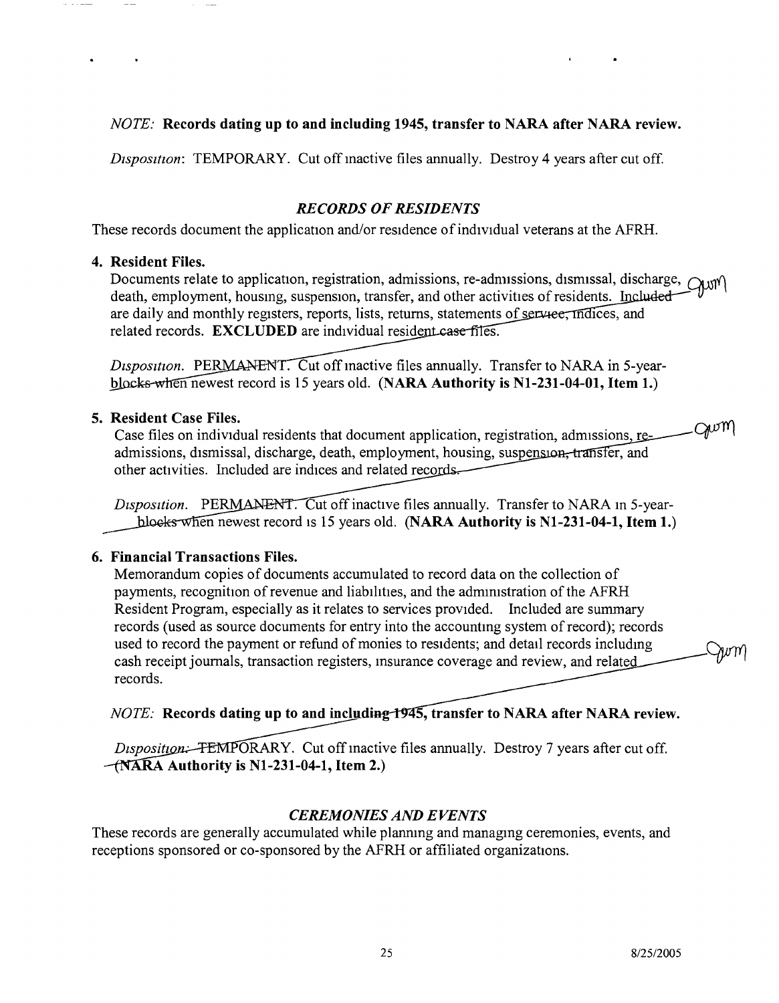#### *NOTE:* Records dating up to and including 1945, transfer to NARA after NARA review.

*Disposition:* TEMPORARY. Cut off mactive files annually. Destroy 4 years after cut off.

#### *RECORDS OF RESIDENTS*

These records document the application and/or residence of individual veterans at the AFRH.

#### 4. Resident Files.

Documents relate to application, registration, admissions, re-admissions, dismissal, discharge,  $\alpha$ <sub>*NI*</sub><sup>*\'*</sup> death, employment, housing, suspension, transfer, and other activities of residents. Included are daily and monthly registers, reports, lists, returns, statements of services, indices, and related records. EXCLUDED are individual resident case files.

*Disposition.* PERMANENT. Cut off mactive files annually. Transfer to NARA in 5-yearblocks-when newest record is 15 years old. (NARA Authority is N1-231-04-01, Item 1.)

#### 5. Resident Case Files.

.Gwm Case files on individual residents that document application, registration, admissions, readmissions, dismissal, discharge, death, employment, housing, suspension, transfer, and other activities. Included are indices and related records—

Disposition. PERMANENT. Cut off inactive files annually. Transfer to NARA in 5-yearblocks when newest record is 15 years old. (NARA Authority is N1-231-04-1, Item 1.)

#### 6. Financial Transactions Files.

Memorandum copies of documents accumulated to record data on the collection of payments, recognition of revenue and liabilities, and the adrmrustration of the AFRH Resident Program, especially as it relates to services provided. Included are summary records (used as source documents for entry into the accountmg system of record); records used to record the payment or refund of monies to residents; and detail records includmg cash receipt journals, transaction registers, insurance coverage and review, and related records.

#### *NOTE:* Records dating up to and including 1945, transfer to NARA after NARA review.

*Disposition:* FEMPORARY. Cut off inactive files annually. Destroy 7 years after cut off.  $-MARA$  Authority is N1-231-04-1, Item 2.)

### *CEREMONIES AND EVENTS*

These records are generally accumulated while planning and managing ceremonies, events, and receptions sponsored or co-sponsored by the AFRH or affiliated organizations.

*hv* m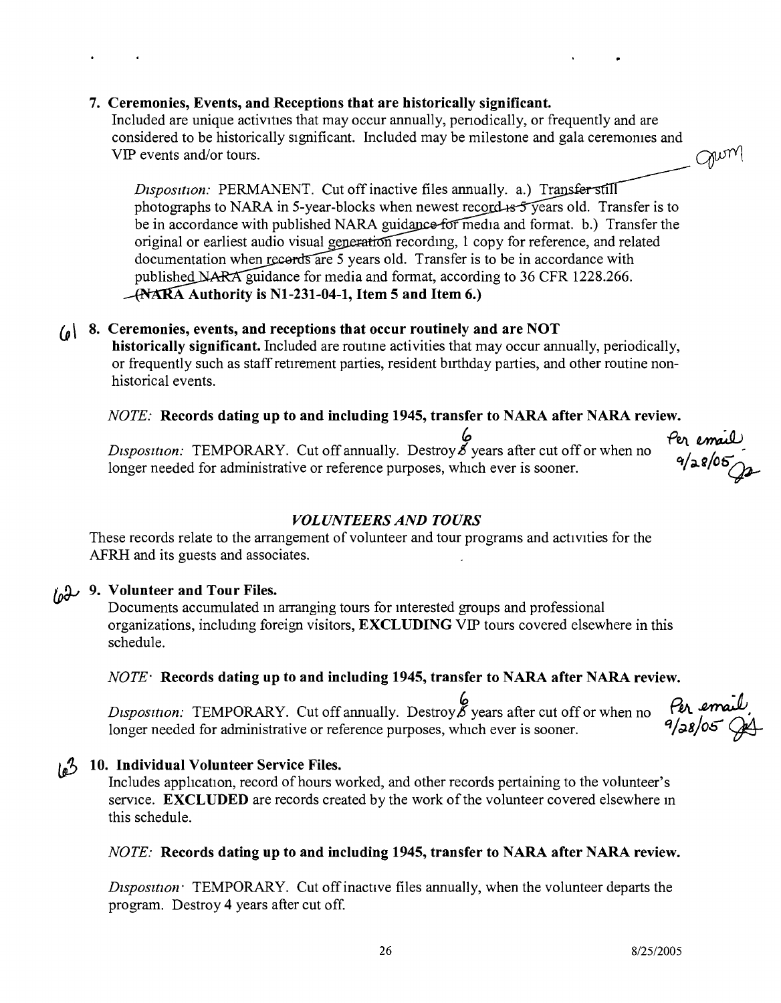#### **7. Ceremonies, Events, and Receptions that are historically significant.**

Included are unique activities that may occur annually, periodically, or frequently and are considered to be historically significant. Included may be milestone and gala ceremomes and VIP events and/or tours.  $\bigcap_{\mathcal{U}}\mathcal{U}(\mathcal{V})$ 

*Disposition:* PERMANENT. Cut off inactive files annually. a.) Transfer still photographs to NARA in 5-year-blocks when newest record  $\frac{1}{5}$  years old. Transfer is to be in accordance with published NARA guidance for media and format. b.) Transfer the original or earliest audio visual generation recording, 1 copy for reference, and related documentation when recerds are 5 years old. Transfer is to be in accordance with published NARA guidance for media and format, according to 36 CFR 1228.266. **Authority is Nl-231-04-1, Item 5 and Item 6.)**

## *(0 \* **8. Ceremonies, events, and receptions that occur routinely and are NOT**

**historically significant.** Included are routme activities that may occur annually, periodically, or frequently such as staff retirement parties, resident birthday parties, and other routine nonhistorical events.

#### *NOTE:* **Records dating up to and including 1945, transfer to NARA after NARA review.**

*to Per enally. Disposition:* TEMPORARY. Cut off annually. Destroy *b* years after cut off or when no *q*  $\alpha$  *q*  $\alpha$  *(05* longer needed for administrative or reference purposes, which ever is sooner.

#### *VOLUNTEERS AND TOURS*

These records relate to the arrangement of volunteer and tour programs and activities for the AFRH and its guests and associates.

## **9. Volunteer and Tour Files.**

Documents accumulated m arranging tours for mterested groups and professional organizations, includmg foreign visitors, **EXCLUDING** VIP tours covered elsewhere in this schedule.

#### *NOTE-* **Records dating up to and including 1945, transfer to NARA after NARA review.**

p<br>*Disposition:* TEMPORARY. Cut off annually. Destroy gears after cut off or when no longer needed for administrative or reference purposes, which ever is sooner.

#### **10. Individual Volunteer Service Files.** تھا

Includes application, record of hours worked, and other records pertaining to the volunteer's service. **EXCLUDED** are records created by the work of the volunteer covered elsewhere m this schedule.

#### *NOTE:* **Records dating up to and including 1945, transfer to NARA after NARA review.**

*Disposition*: TEMPORARY. Cut off inactive files annually, when the volunteer departs the program. Destroy 4 years after cut off.

Per email<br>9/28/05 JA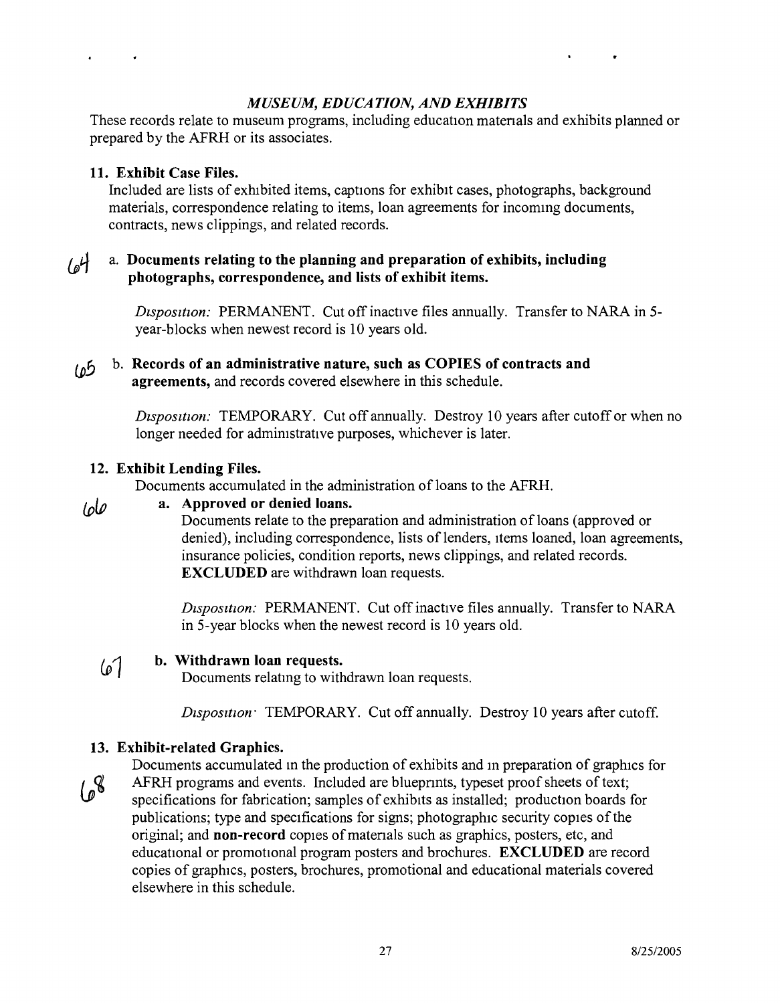#### *MUSEUM, EDUCATION, AND EXHIBIT*.

These records relate to museum programs, including education matenals and exhibits planned or prepared by the AFRH or its associates.

#### 11. Exhibit Case Files.

Included are lists of exhibited items, captions for exhibit cases, photographs, background materials, correspondence relating to items, loan agreements for incommg documents, contracts, news clippings, and related records.

#### a. Documents relating to the planning and preparation of exhibits, including  $\mathcal{H}_{\alpha}$ photographs, correspondence, and lists of exhibit items.

*Dtsposition:* PERMANENT. Cut off inactive files annually. Transfer to NARA in 5 year-blocks when newest record is 10 years old.

#### b. Records of an administrative nature, such as COPIES of contracts and  $10<sup>5</sup>$ agreements, and records covered elsewhere in this schedule.

*Disposition:* TEMPORARY. Cut off annually. Destroy 10 years after cutoff or when no longer needed for admimstrative purposes, whichever is later.

#### 12. Exhibit Lending Files.

Documents accumulated in the administration of loans to the AFRH.

#### a. Approved or denied loans. Iole

Documents relate to the preparation and administration of loans (approved or denied), including correspondence, lists of lenders, Items loaned, loan agreements, insurance policies, condition reports, news clippings, and related records. EXCLUDED are withdrawn loan requests.

*Disposition:* PERMANENT. Cut off inactive files annually. Transfer to NARA in 5-year blocks when the newest record is 10 years old.

#### b. Withdrawn loan requests.  $61$

Documents relatmg to withdrawn loan requests.

*Dtspositton:* TEMPORARY. Cut off annually. Destroy 10 years after cutoff.

#### 13. Exhibit-related Graphics.

Documents accumulated m the production of exhibits and in preparation of graphics for AFRH programs and events. Included are bluepnnts, typeset proof sheets of text;  $108$ specifications for fabrication; samples of exhibits as installed; production boards for publications; type and specifications for signs; photographic security copies of the original; and non-record copies of matenals such as graphics, posters, etc, and educational or promotional program posters and brochures. EXCLUDED are record copies of graphics, posters, brochures, promotional and educational materials covered elsewhere in this schedule.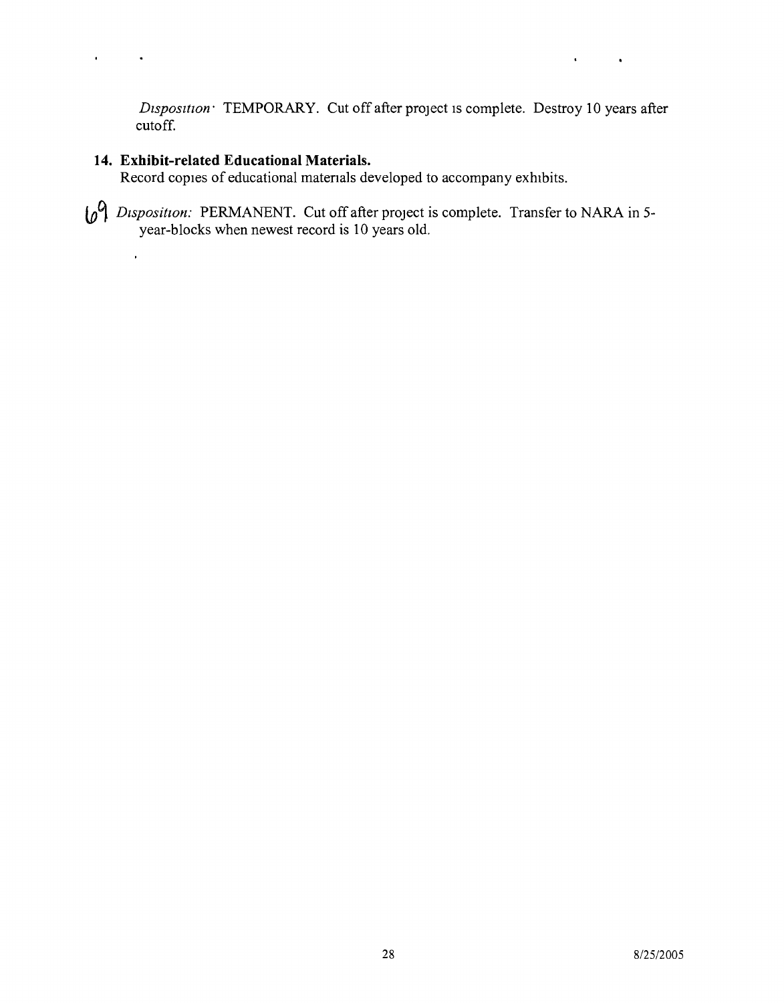$\hat{\mathbf{r}}$ 

 $\bullet$ 

*Disposition:* TEMPORARY. Cut off after project is complete. Destroy 10 years after cutoff.

#### **14. Exhibit-related Educational Materials.**

 $\overline{a}$ 

 $\ddot{\phantom{a}}$ 

 $\hat{\mathbf{r}}$ 

Record copies of educational matenals developed to accompany exhibits.

*Dtsposition:* PERMANENT. Cut off after project is complete. Transfer to NARA in 5 year-blocks when newest record is 10 years old.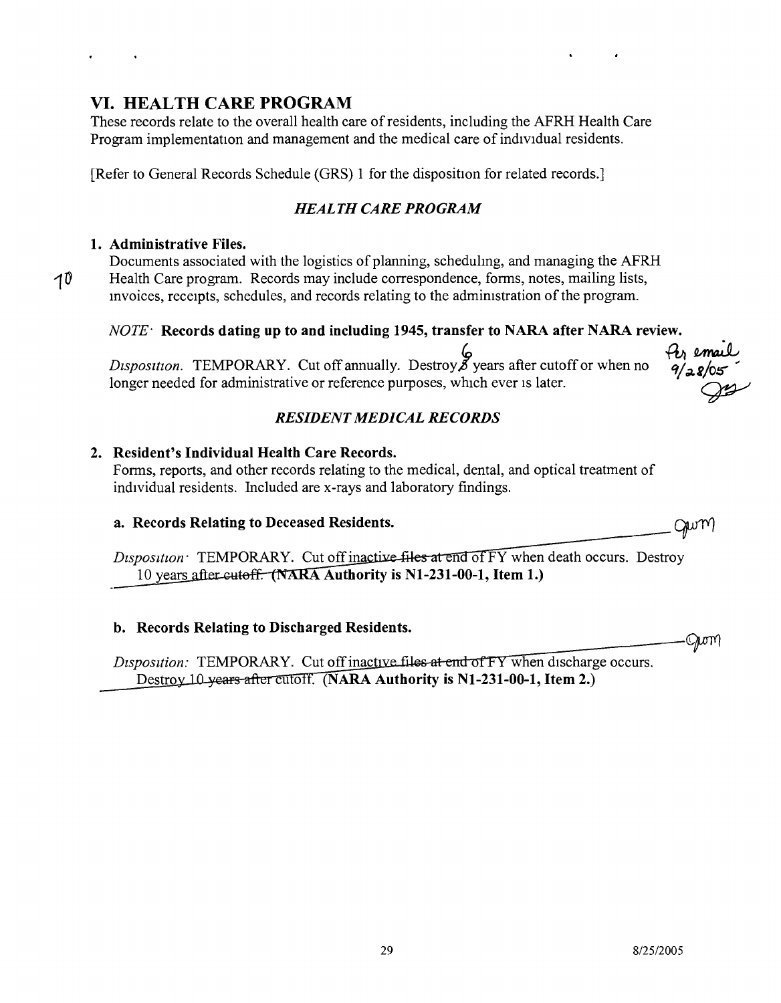29 8/25/2005

## **VI. HEALTH CARE PROGRAM**

These records relate to the overall health care of residents, including the AFRH Health Care Program implementation and management and the medical care of individual residents.

[Refer to General Records Schedule (GRS) 1 for the disposition for related records.]

## *HEALTH CARE PROGRAM*

## **1. Administrative Files.**

10

Documents associated with the logistics of planning, scheduhng, and managing the AFRH Health Care program. Records may include correspondence, forms, notes, mailing lists, mvoices, receipts, schedules, and records relating to the administration of the program.

## *NOTE-* **Records dating up to and including 1945, transfer to NARA after NARA review.**

~ ffi~ *Disposition .* TEMPORARY. Cut off annually. Destroy \$years after cutoff or when no *&il;Li/OIS' "'* Disposition. TEMPORARY. Cut off annually. Destroy 8 years after cutoff or when no  $\frac{4}{28/05}$ <br>longer needed for administrative or reference purposes, which ever is later.

## *RESIDENT MEDICAL RECORDS*

## **2. Resident's Individual Health Care Records.**

Forms, reports, and other records relating to the medical, dental, and optical treatment of individual residents. Included are x-rays and laboratory findings.

## a. Records Relating to Deceased Residents.

Disposition TEMPORARY. Cut off inactive files at end of FY when death occurs. Destroy 10 years after cutoff. (NARA Authority is N1-231-00-1, Item 1.)

## b. Records Relating to Discharged Residents.

Disposition: TEMPORARY. Cut off inactive files at end of FY when discharge occurs. Destroy 10 years after cutoff. (NARA Authority is N1-231-00-1, Item 2.)



Qwm

Jwr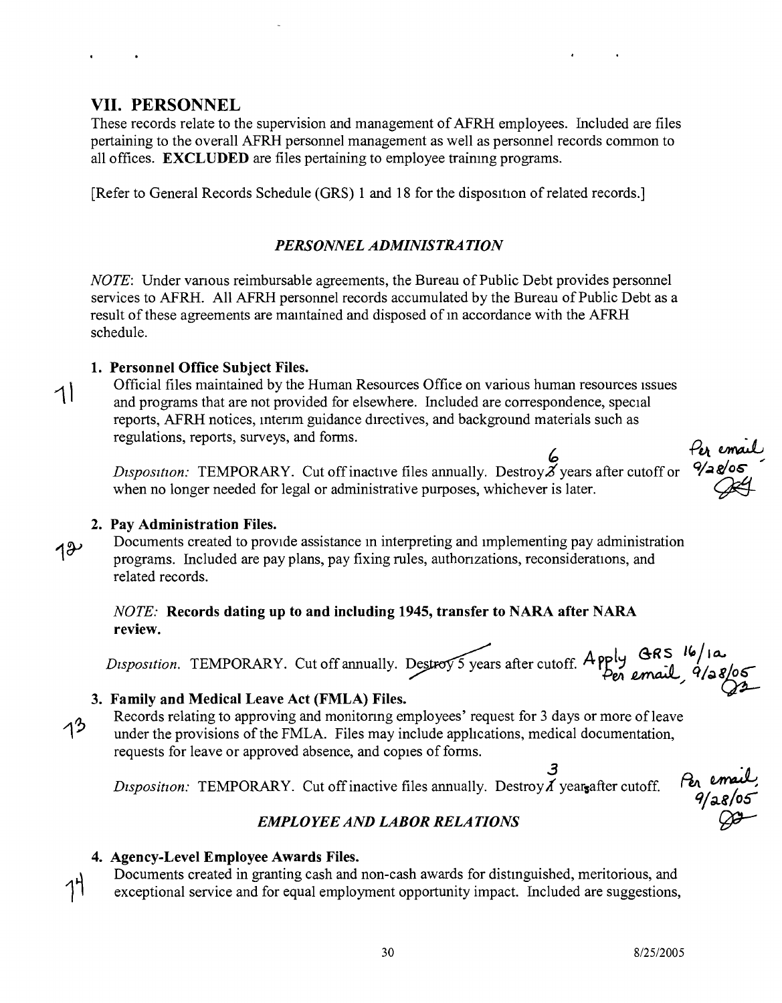## VII. PERSONNEL

These records relate to the supervision and management of AFRH employees. Included are files pertaining to the overall AFRH personnel management as well as personnel records common to all offices. EXCLUDED are files pertaining to employee trainmg programs.

[Refer to General Records Schedule (GRS) 1 and 18 for the disposition of related records.]

## *PERSONNEL ADMINISTRA TION*

*NOTE:* Under vanous reimbursable agreements, the Bureau of Public Debt provides personnel services to AFRH. All AFRH personnel records accumulated by the Bureau of Public Debt as a result of these agreements are maintained and disposed of in accordance with the AFRH schedule.

#### 1. Personnel Office Subject Files.

Official files maintained by the Human Resources Office on various human resources issues and programs that are not provided for elsewhere. Included are correspondence, special reports, AFRH notices, mtenm guidance directives, and background materials such as regulations, reports, surveys, and forms.

*Disposition:* TEMPORARY. Cut off inactive files annually. Destroy  $\tilde{Z}$  years after cutoff or when no longer needed for legal or administrative purposes, whichever is later. when no longer needed for legal or administrative purposes, whichever is later

#### 2. Pav Administration Files.

 $18$ 

Documents created to provide assistance in interpreting and Implementing pay administration programs. Included are pay plans, pay fixing rules, authonzations, reconsiderations, and related records.

#### *NOTE:* Records dating up to and including 1945, transfer to NARA after NARA review.

-. , ~ A I 8-RS *UIJ/l~ Disposition.* TEMPORARY. Cut off annually. ~ 0 years after cutoff. P];J ~, 9/" ~

### 3. Family and Medical Leave Act (FMLA) Files.

Records relating to approving and monitonng employees' request for 3 days or more of leave  $1<sup>3</sup>$ under the provisions of the FMLA. Files may include applications, medical documentation, requests for leave or approved absence, and copies of forms.

<sup>2</sup>3<br>Disposition: TEMPORARY. Cut off inactive files annually. Destroy *i* years after cutoff

Per email<br>9/28/05<br>00

Per email<br>9/28/05

## *EMPLOYEE AND LABOR RELATIONS*

### 4. Agency-Level Employee Awards Files.

Documents created in granting cash and non-cash awards for distmguished, meritorious, and exceptional service and for equal employment opportunity impact. Included are suggestions,

30 *8/25/2005*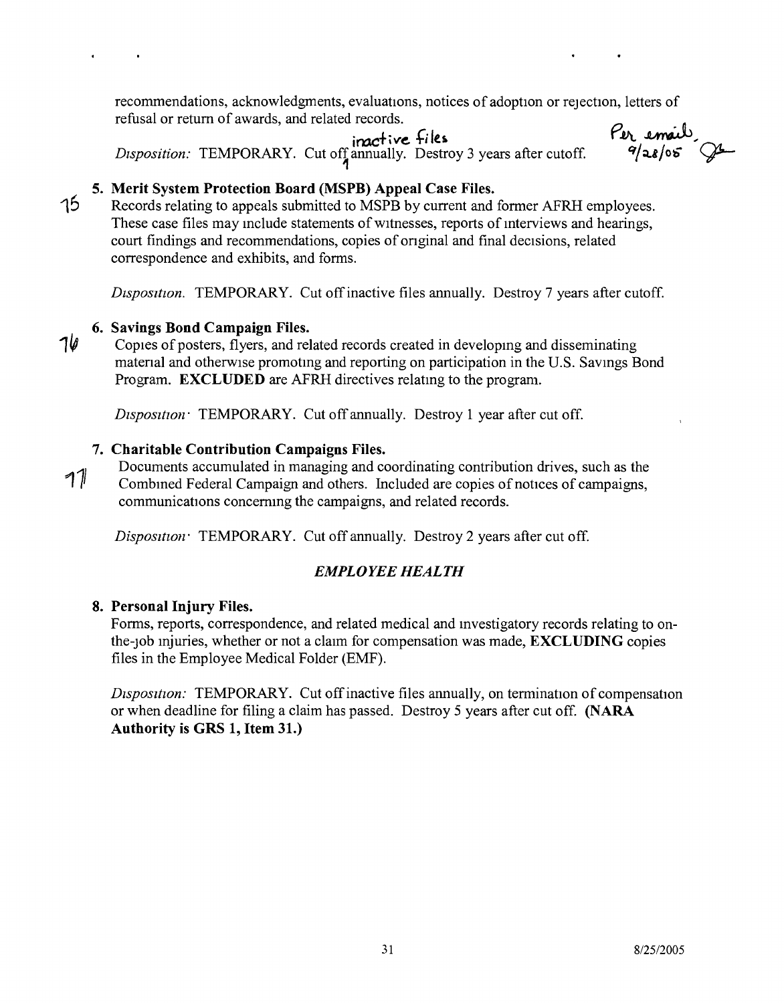recommendations, acknowledgments, evaluations, notices of adoption or rejection, letters of refusal or return of awards, and related records.

**iroc+ i***ve:* **+; 1£10** *Disposition:* TEMPORARY. Cut off annually. Destroy 3 years after cutoff

Per email 9

## **5. Merit System Protection Board (MSPB) Appeal Case Files.**

Records relating to appeals submitted to MSPB by current and former AFRH employees. These case files may include statements of witnesses, reports of interviews and hearings, court findings and recommendations, copies of onginal and final decisions, related correspondence and exhibits, and forms.

*Dtsposttion.* TEMPORARY. Cut off inactive files annually. Destroy 7 years after cutoff.

## **6. Savings Bond Campaign Files.**

15

 $10$  Copies of posters, flyers, and related records created in developing and disseminating matenal and otherwise promotmg and reporting on participation in the U.S. Savmgs Bond Program. **EXCLUDED** are AFRH directives relating to the program.

*Disposttton:* TEMPORARY. Cut off annually. Destroy 1 year after cut off.

## **7. Charitable Contribution Campaigns Files.**

Documents accumulated in managing and coordinating contribution drives, such as the <sup>7</sup>1<sup>*II*</sup> Combined Federal Campaign and others. Included are copies of notices of campaigns, communications concernmg the campaigns, and related records.

*Disposition TEMPORARY.* Cut off annually. Destroy 2 years after cut off.

## *EMPLOYEE HEALTH*

## **8. Personal Injury Files.**

Forms, reports, correspondence, and related medical and mvestigatory records relating to onthe-Job mjuries, whether or not a claim for compensation was made, **EXCLUDING** copies files in the Employee Medical Folder (EMF).

*Disposition:* TEMPORARY. Cut off inactive files annually, on termination of compensation or when deadline for filing a claim has passed. Destroy 5 years after cut off. **(NARA Authority is GRS 1, Item 31.)**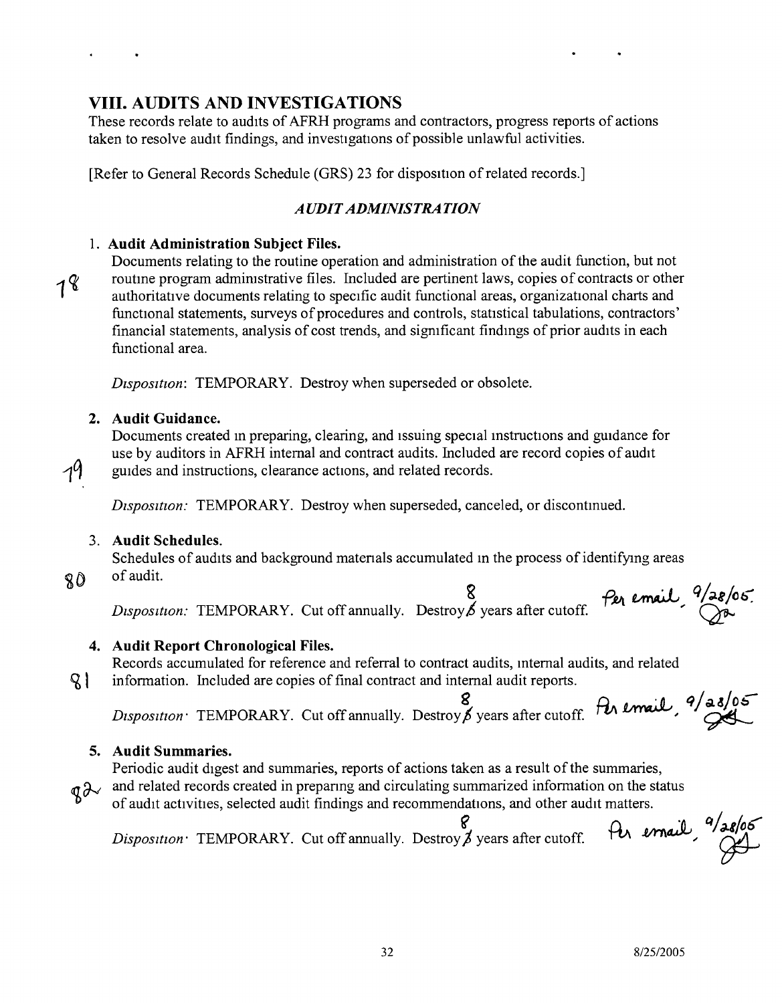**NWML** 

## **VIII. AUDITS AND INVESTIGATIONS**

These records relate to audits of AFRH programs and contractors, progress reports of actions taken to resolve audit findings, and investigations of possible unlawful activities.

[Refer to General Records Schedule (GRS) 23 for disposition of related records.]

#### *AUDIT ADMINISTRATION*

#### 1. **Audit Administration Subject Files.**

 $18$ 

Documents relating to the routine operation and administration of the audit function, but not routme program admirustrative files. Included are pertinent laws, copies of contracts or other authoritative documents relating to specific audit functional areas, organizational charts and functional statements, surveys of procedures and controls, statistical tabulations, contractors' financial statements, analysis of cost trends, and sigmficant findmgs of prior audits in each functional area.

*Dtspositton;* TEMPORARY. Destroy when superseded or obsolete.

#### **2. Audit Guidance.**

Documents created m preparing, clearing, and Issuing special mstructions and guidance for use by auditors in AFRH internal and contract audits. Included are record copies of audit guides and instructions, clearance actions, and related records.

*Disposition:* TEMPORARY. Destroy when superseded, canceled, or discontmued.

#### 3. **Audit Schedules.**

Schedules of audits and background matenals accumulated m the process of identifying areas of audit.

80

 $\mathsf{R}$  |

19

*Per email <sup>q</sup>/de/o6.*<br>*Disposition:* TEMPORARY. Cut off annually. Destroy *b* years after cutoff. <br> $\frac{P_{e_1}}{P_{e_2}}$  email  $\frac{Q_{e_3}}{P_{e_3}}$ 

#### **4. Audit Report Chronological Files.**

Records accumulated for reference and referral to contract audits, mternal audits, and related information. Included are copies of final contract and internal audit reports.

*B*<br>*Disposition* TEMPORARY. Cut off annually. Destroy 6 years after cutoff. Per email, 9/28/05

#### **5. Audit Summaries.**

Periodic audit digest and summaries, reports of actions taken as a result of the summaries,

- $q\lambda$  and related records created in preparing and circulating summarized information on the status
	- of audit actrvities, selected audit findings and recommendanons, and other audit matters. fer email, <sup>9/28/06</sup>

*Disposition:* TEMPORARY. Cut off annually. Destroy  $\beta$  years after cutoff.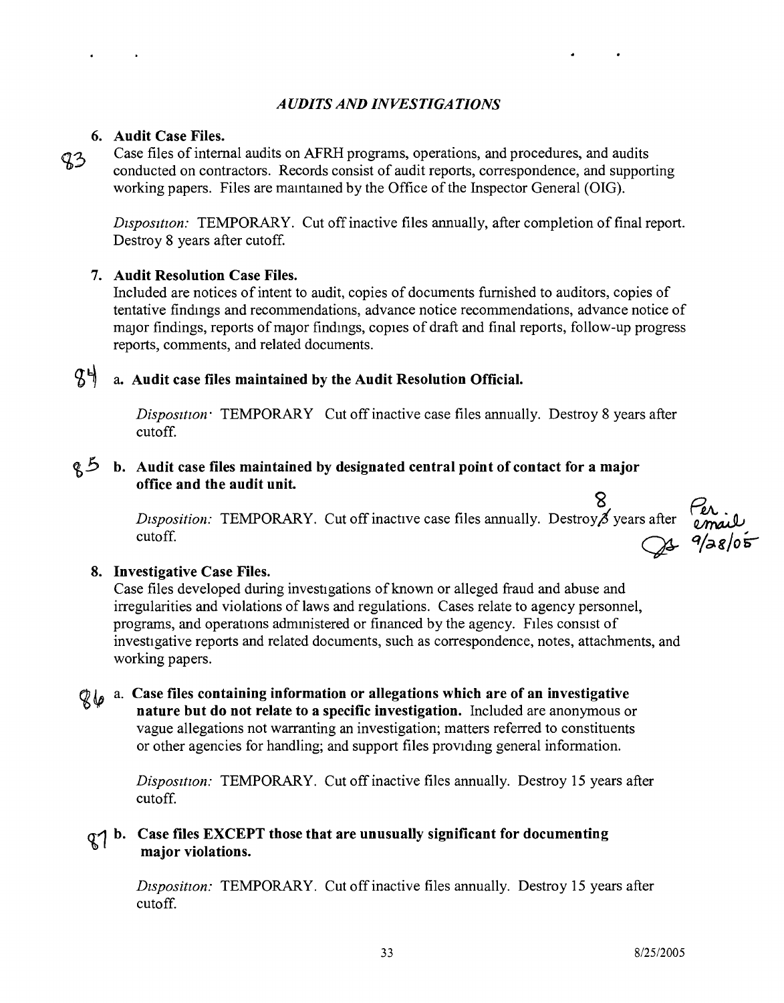#### *A UDITS AND INVESTIGATIONS*

#### **6. Audit Case Files.**

 $93$ 

Case files of internal audits on AFRH programs, operations, and procedures, and audits conducted on contractors. Records consist of audit reports, correspondence, and supporting working papers. Files are mamtamed by the Office of the Inspector General (OIG).

*Disposition:* TEMPORARY. Cut off inactive files annually, after completion of final report. Destroy 8 years after cutoff.

#### **7. Audit Resolution Case Files.**

Included are notices of intent to audit, copies of documents furnished to auditors, copies of tentative findmgs and recommendations, advance notice recommendations, advance notice of major findings, reports of major findmgs, copies of draft and final reports, follow-up progress reports, comments, and related documents.

## ~ ~ a. **Audit case files maintained by the Audit Resolution Official.**

*Disposition:* TEMPORARY Cut off inactive case files annually. Destroy 8 years after cutoff.

#### tt;.5 **b. Audit case files maintained by designated central point** of contact **for a major office and the audit unit.**

 $\circ$ *Disposition:* TEMPORARY. Cut off inactive case files annually. Destroy of years after cutoff.

#### **8. Investigative Case Files.**

Case files developed during investigations of known or alleged fraud and abuse and irregularities and violations of laws and regulations. Cases relate to agency personnel, programs, and operations admmistered or financed by the agency. FIles consist of investigative reports and related documents, such as correspondence, notes, attachments, and working papers.

a. **Case files containing information or allegations which are of an investigative nature but do not relate to a specific investigation.** Included are anonymous or vague allegations not warranting an investigation; matters referred to constituents or other agencies for handling; and support files providing general information.

> *Disposition:* TEMPORARY. Cut off inactive files annually. Destroy 15 years after cutoff.

## **Case files EXCEPT those that are unusually significant for documenting major violations.**

*Disposition:* TEMPORARY. Cut off inactive files annually. Destroy 15 years after cutoff.

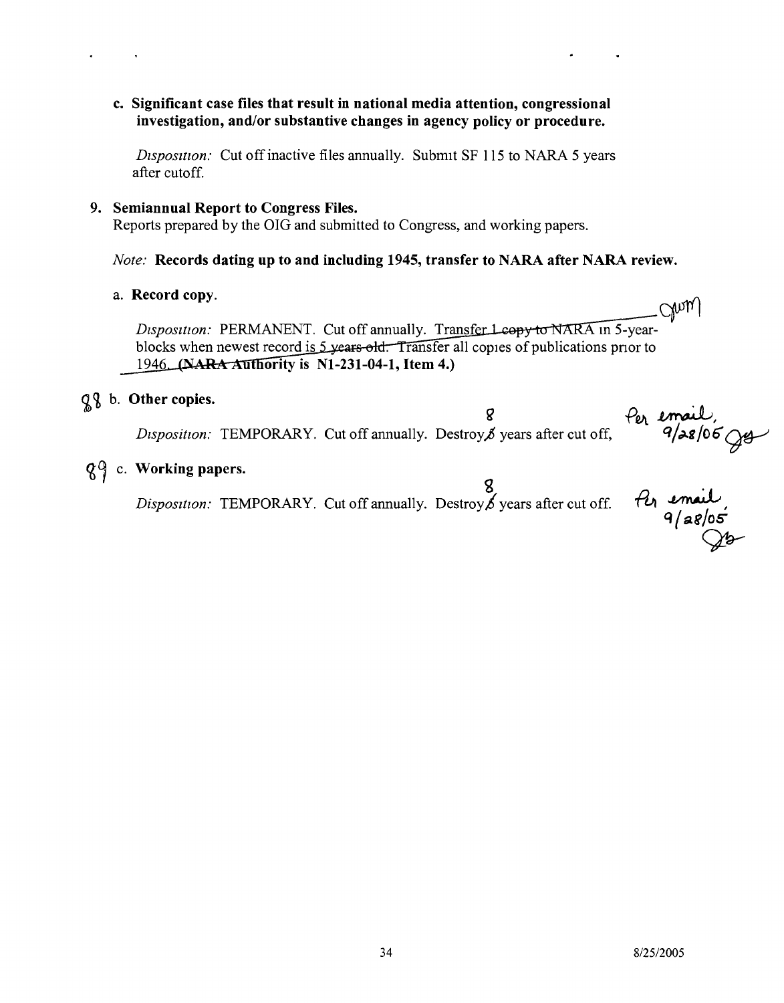c. Significant case files that result in national media attention, congressiona investigation, and/or substantive changes in agency policy or procedure.

*Disposition:* Cut off inactive files annually. Submit SF 115 to NARA 5 years after cutoff.

9. Semiannual Report to Congress Files.

Reports prepared by the OIG and submitted to Congress, and working papers.

#### *Note:* Records dating up to and including 1945, transfer to NARA after NARA review.

a. Record copy.

Chry *Disposition:* PERMANENT. Cut off annually. Transfer Lcopy to NARA in 5-yearblocks when newest record is  $\frac{5 \text{ years} \cdot \text{old}}{2}$ . Transfer all copies of publications prior to 1946. (NARA Authority is N1-231-04-1, Item 4.)

## $Q\$ b. Other copies.

Per email,<br>9/28/06 Jer  $\mathbf{Q}$ *Disposition:* TEMPORARY. Cut off annually. Destroy, years after cut off,

## $Q<sup>0</sup>$  c. Working papers.

*Disposition:* TEMPORARY. Cut off annually. Destroy **8**<br>*b* years after cut off.

 $\frac{\partial}{\partial q}$  email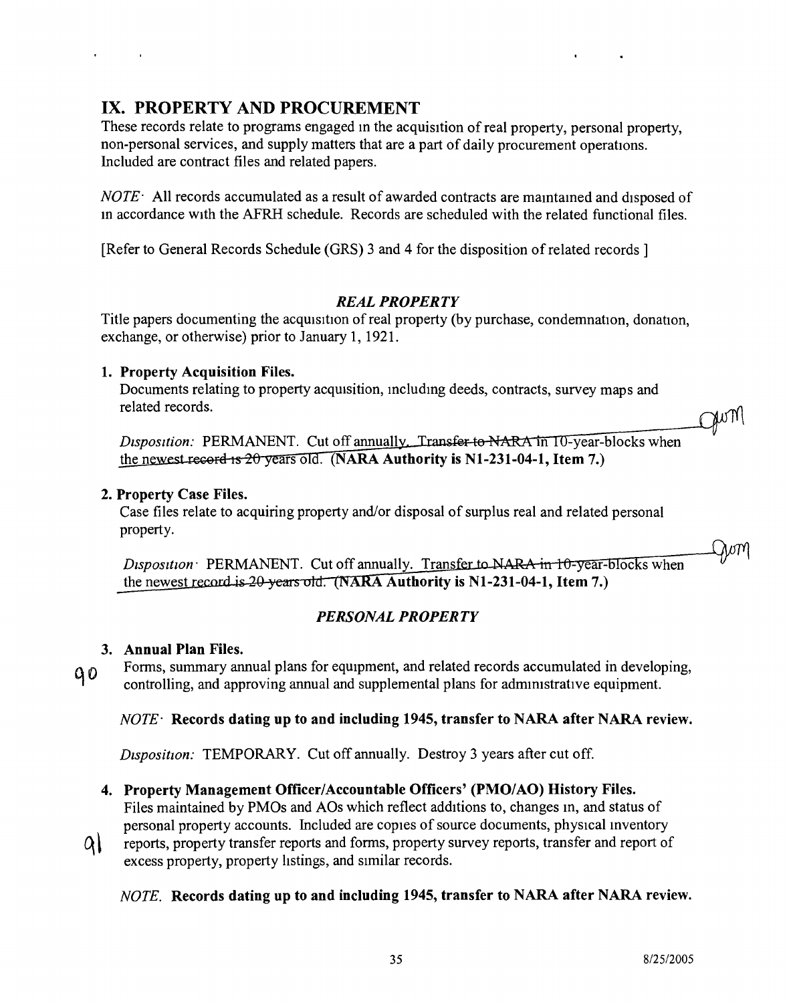Qwm

## IX. PROPERTY AND PROCUREMENT

These records relate to programs engaged in the acquisition of real property, personal property, non-personal services, and supply matters that are a part of daily procurement operations. Included are contract files and related papers.

*NOTE-* All records accumulated as a result of awarded contracts are mamtamed and disposed of m accordance with the AFRH schedule. Records are scheduled with the related functional files.

[Refer to General Records Schedule (GRS) 3 and 4 for the disposition of related records ]

#### *REAL PROPERTY*

Title papers documenting the acquisition of real property (by purchase, condemnation, donation, exchange, or otherwise) prior to January 1, 1921.

#### 1. Property Acquisition Files.

**Contractor** 

Documents relating to property acquisition, including deeds, contracts, survey maps and related records.

gum Disposition: PERMANENT. Cut off annually. Transfer to NARA in 10-year-blocks when

# the newest record is  $20$  years old. (NARA Authority is N1-231-04-1, Item 7.)

#### 2. Property Case Files.

Case files relate to acquiring property and/or disposal of surplus real and related personal property.

Disposition PERMANENT. Cut off annually. Transfer to NARA in 10-year-blocks when the newest record is 20 years old. (NARA Authority is N1-231-04-1, Item 7.)

#### *PERSONAL PROPERTY*

#### 3. Annual Plan Files.

Forms, summary annual plans for equipment, and related records accumulated in developing,  $90$ controlling, and approving annual and supplemental plans for administrative equipment.

#### *NOTE'* Records dating up to and including 1945, transfer to NARA after NARA review.

*Disposition:* TEMPORARY. Cut off annually. Destroy 3 years after cut off.

### 4. Property Management Officer/Accountable Officers' (PMO/AO) History Files.

Files maintained by PMOs and AOs which reflect additions to, changes m, and status of personal property accounts. Included are copies of source documents, physical inventory

 $\alpha$ reports, property transfer reports and forms, property survey reports, transfer and report of excess property, property hstings, and similar records.

#### *NOTE.* Records dating up to and including 1945, transfer to NARA after NARA review.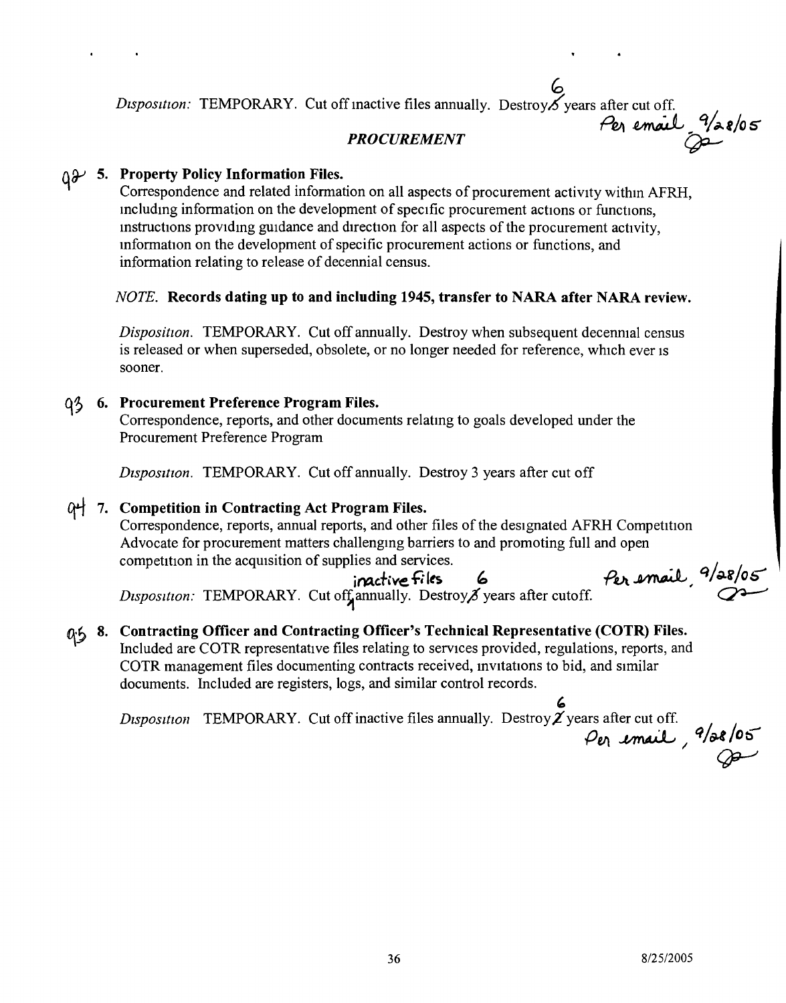#### ~ *Disposition:* TEMPORARY. Cut off inactive files annually. Destroy $\chi$  years after cut off. *Pell ~ q/t?-.t/oS' PROCUREMENT* <sup>~</sup>

## $\mathfrak{g}\mathcal{Y}$  5. Property Policy Information Files.

Correspondence and related information on all aspects of procurement activity withm AFRH, mcludmg information on the development of specific procurement actions or functions, mstructions providing guidance and direction for all aspects of the procurement activity, information on the development of specific procurement actions or functions, and information relating to release of decennial census.

#### *NOTE.* Records dating up to and including 1945, transfer to NARA after NARA review.

*Disposition.* TEMPORARY. Cut off annually. Destroy when subsequent decenmal census is released or when superseded, obsolete, or no longer needed for reference, which ever is sooner.

#### **q**<sup>5</sup> 6. Procurement Preference Program Files.

Correspondence, reports, and other documents relatmg to goals developed under the Procurement Preference Program

*Dtsposttton.* TEMPORARY. Cut off annually. Destroy 3 years after cut off

### 0번 7. Competition in Contracting Act Program Files.

Correspondence, reports, annual reports, and other files of the designated AFRH Competition Advocate for procurement matters challengmg barriers to and promoting full and open competition in the acquisition of supplies and services.

*Disposition:* TEMPORARY. Cut off annually. Destroy its years after cutoff.

Per email, 9/28/05 inactive files 6 *Per email*, <sup>9</sup>/28/0

## $\alpha$ <sup>5</sup> 8. Contracting Officer and Contracting Officer's Technical Representative (COTR) Files.

Included are COTR representative files relating to services provided, regulations, reports, and<br>
COTR management files documenting contracts received, invitations to bid, and similar<br>
documents. Included are registers, log COTR management files documenting contracts received, invitations to bid, and similar documents. Included are registers, logs, and similar control records.

*Disposition* TEMPORARY. Cut off inactive files annually. Destroy  $\chi$  years after cut off. *.put ~ q/f}.t/Ob I ~*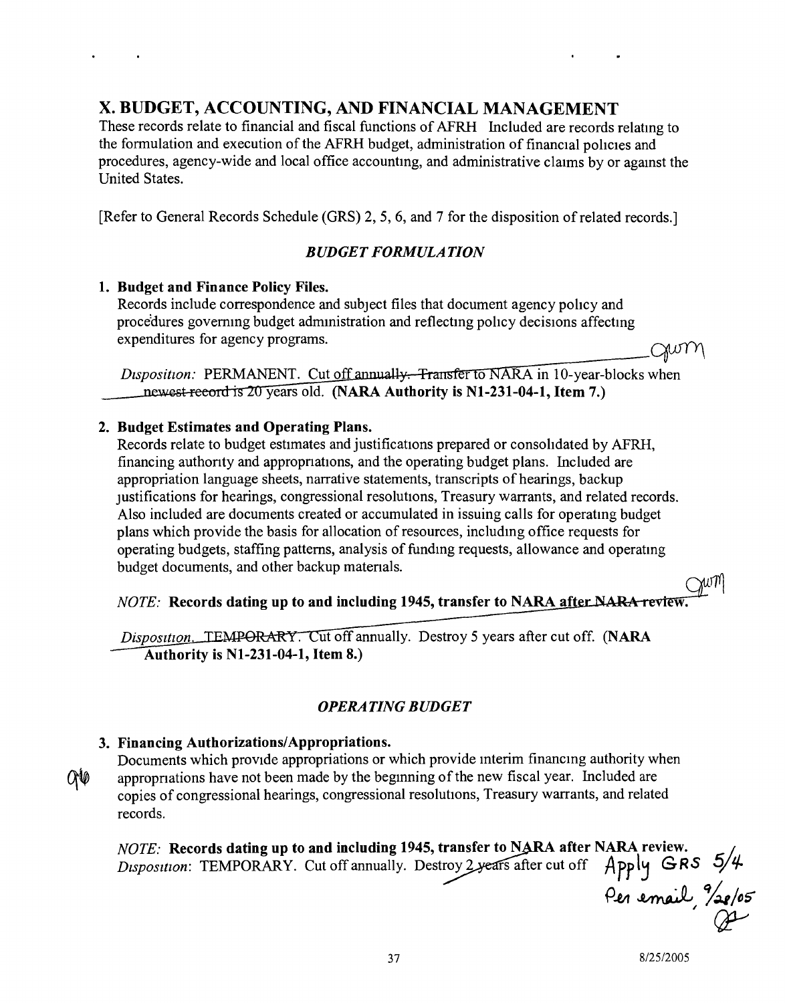## x. BUDGET, ACCOUNTING, AND FINANCIAL MANAGEMENT

These records relate to financial and fiscal functions of AFRH Included are records relatmg to the formulation and execution of the AFRH budget, administration of financial policies and procedures, agency-wide and local office accountmg, and administrative claims by or agamst the United States.

[Refer to General Records Schedule (GRS) 2, 5, 6, and 7 for the disposition of related records.]

### *BUDGET FORMULATION*

#### 1. Budget and Finance Policy Files.

Records include correspondence and subject files that document agency policy and procedures governing budget administration and reflecting policy decisions affecting expenditures for agency programs.

JWM

*Disposition:* PERMANENT. Cut off annually. Transfer to NARA in 10-year-blocks when newest record is 20 years old. (NARA Authority is N1-231-04-1, Item 7.)

#### 2. Budget Estimates and Operating Plans.

Records relate to budget estimates and justifications prepared or consohdated by AFRH, financing authonty and appropnations, and the operating budget plans. Included are appropriation language sheets, narrative statements, transcripts of hearings, backup Justifications for hearings, congressional resolutions, Treasury warrants, and related records. Also included are documents created or accumulated in issuing calls for operatmg budget plans which provide the basis for allocation of resources, includmg office requests for operating budgets, staffing patterns, analysis of fundmg requests, allowance and operatmg budget documents, and other backup matenals.

*NOTE*: Records dating up to and including 1945, transfer to NARA after NARA review

*Disposition*, TEMPORARY. Cut off annually. Destroy 5 years after cut off. (NARA Authority is NI-231-04-1, Item 8.)

## *OPERATING BUDGET*

### 3. Financing Authorizations/Appropriations.

Documents which provide appropriations or which provide interim financing authority when QO appropnations have not been made by the beginning of the new fiscal year. Included are copies of congressional hearings, congressional resolutions, Treasury warrants, and related records.

*NOTE:* Records dating up to and including 1945, transfer to NARA after NARA review *Disposition:* TEMPORARY. Cut off annually. Destroy 2 years after cut off AFPl~ *GRS* ~!. *5;1/- PM ~ %.tID:)*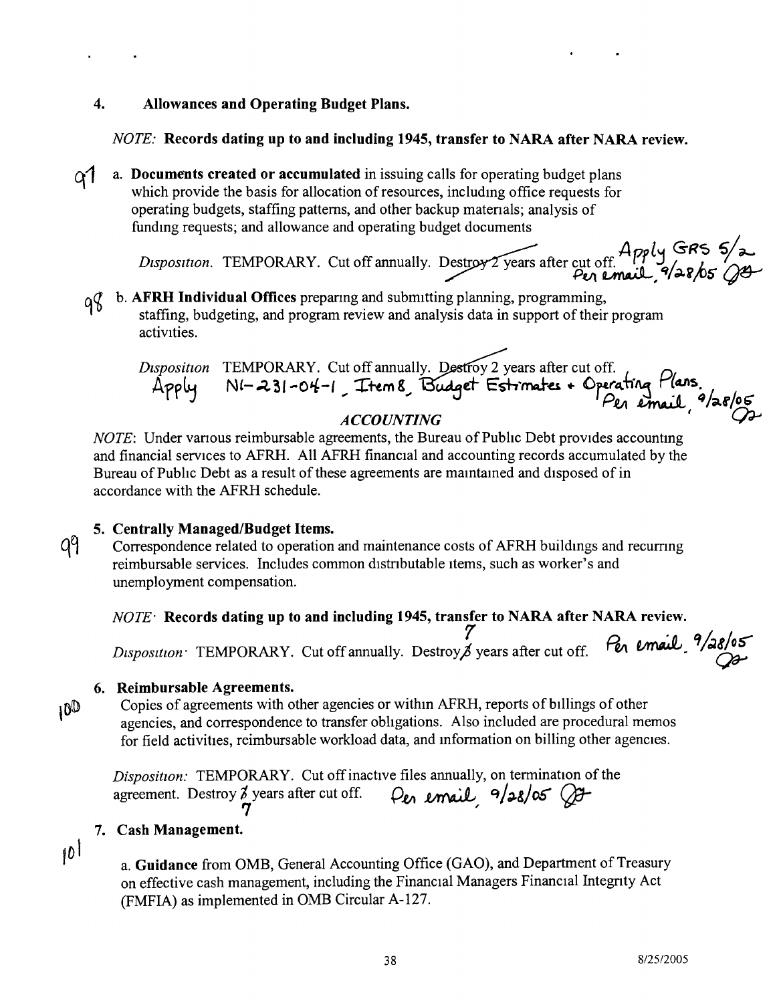#### 4. Allowances and Operating Budget Plans.

#### *NOTE:* Records dating up to and including 1945, transfer to NARA after NARA review.

*q1* a. Documents created or accumulated in issuing calls for operating budget plans which provide the basis for allocation of resources, includmg office requests for operating budgets, staffing patterns, and other backup matenals; analysis of funding requests; and allowance and operating budget documents

A *p d* GRS 5/2<br>Disposition. TEMPORARY. Cut off annually. Destroy 2 years after cut off. 200 fts

b. AFRH Individual Offices preparing and submitting planning, programming, q8 staffing, budgeting, and program review and analysis data in support of their program activities,

*Disposition* TEMPORARY. Cut off annually. Destroy 2 years after cut off. **the read of the conduct** Apply NI-231-04-1 Trem8 Budget Estrinates + Operating Mans.<br>*Per email* <sup>9</sup>/28/05 *ACCOUNTING ( Os-*

*NOTE*: Under various reimbursable agreements, the Bureau of Public Debt provides accounting and financial services to AFRH. All AFRH financial and accounting records accumulated by the Bureau of Public Debt as a result of these agreements are maintained and disposed of in accordance with the AFRH schedule.

- 5. Centrally Managed/Budget Items.
- q9 Correspondence related to operation and maintenance costs of AFRH buildmgs and recumng reimbursable services. Includes common distnbutable Items, such as worker's and unemployment compensation.

#### *NOTE-* Records dating up to and including 1945, transfer to NARA after NARA review.

*7/ Disposition* TEMPORARY. Cut off annually. Destroy, j years after cut off. Pen email 9/28/05

#### 6. Reimbursable Agreements.

100

Copies of agreements with other agencies or withm AFRH, reports of billings of other agencies, and correspondence to transfer obhgations. Also included are procedural memos for field activities, reimbursable workload data, and mformation on billing other agencies,

*Disposition:* TEMPORARY. Cut off inactive files annually, on termination of the agreement. Destroy  $\vec{\lambda}$  years after cut off.  $\rho_e$  *email*  $\theta/\rho \sqrt{2\pi}$ g years and during the limit of  $\frac{1}{2}$ 

#### 7. Cash Management.

 $10^{1}$ 

a. Guidance from OMB, General Accounting Office (GAO), and Department of Treasury on effective cash management, including the Financial Managers Financial Integnty Act (FMFIA) as implemented in OMB Circular A-127.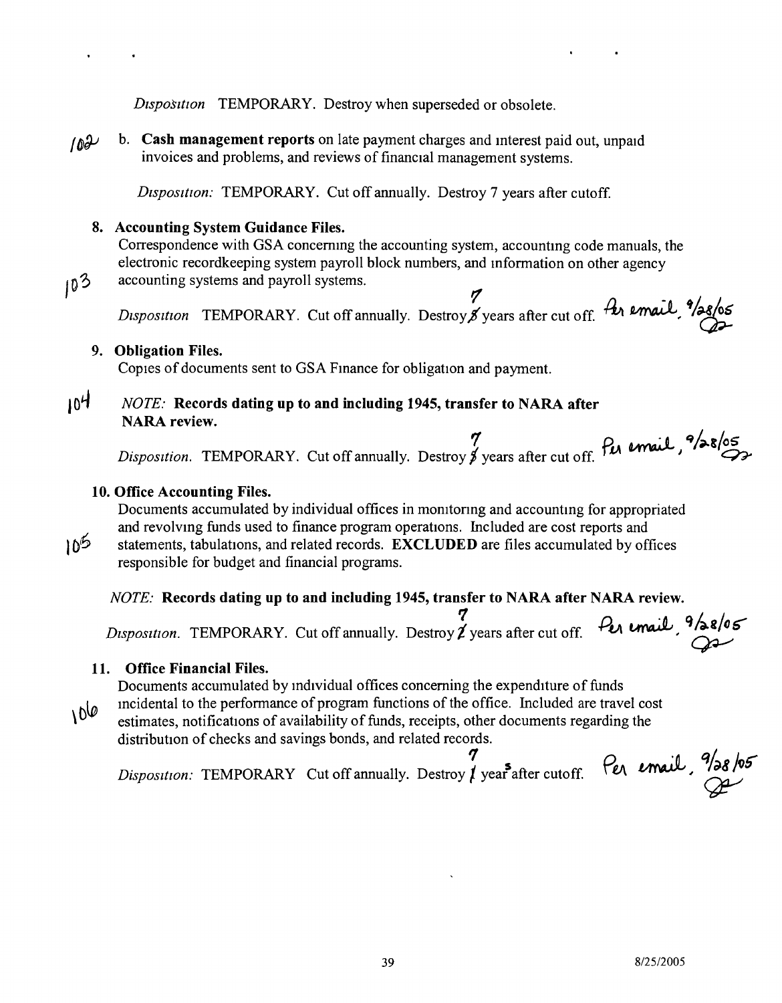*Disposition* TEMPORARY. Destroy when superseded or obsolete.

h. **Cash management reports** on late payment charges and mterest paid out, unpaid  $102$ invoices and problems, and reviews of financial management systems.

*Dtsposttton:* TEMPORARY. Cut off annually. Destroy 7 years after cutoff.

#### **8. Accounting System Guidance Files.**

Correspondence with GSA concernmg the accounting system, accountmg code manuals, the electronic recordkeeping system payroll block numbers, and mformation on other agency accounting systems and payroll systems.

*Disposition* TEMPORARY. Cut off annually. Destroy & years after cut off.  $\hat{f}$  email,  $\hat{f}$  /28/05

#### **9. Obligation Files.**

Copies of documents sent to GSA Finance for obligation and payment.

### j O~ *NOTE:* **Records dating up to and including 1945, transfer to NARA after NARA review.**

*.., PtA <sup>~</sup>* **q/,.g/os** *Disposition.* TEMPORARY. Cut off annually. Destroy *t* years after cut off. *<sup>J</sup> <sup>~</sup>*

#### **10. Office Accounting Files.**

Documents accumulated by individual offices in monitoring and accounting for appropriated and revolvmg funds used to finance program operations. Included are cost reports and

 $10^{6}$ 

 $10^{3}$ 

statements, tabulations, and related records. **EXCLUDED** are files accumulated by offices responsible for budget and financial programs.

#### *NOTE:* **Records dating up to and including 1945, transfer to NARA after NARA review.**

Disposition. TEMPORARY. Cut off annually. Destroy **2** years after cut off. Per email, <sup>9</sup>/28/05

#### **11. Office Financial Files.**

Documents accumulated by individual offices concerning the expenditure of funds

mcidental to the performance of program functions of the office. Included are travel cost  $100$ 

estimates, notifications of availability of funds, receipts, other documents regarding the distribution of checks and savings bonds, and related records.  $\boldsymbol{\tau}$ 

*Disposition:* TEMPORARY Cut off annually. Destroy *t* year<sup>s</sup> after cutoff.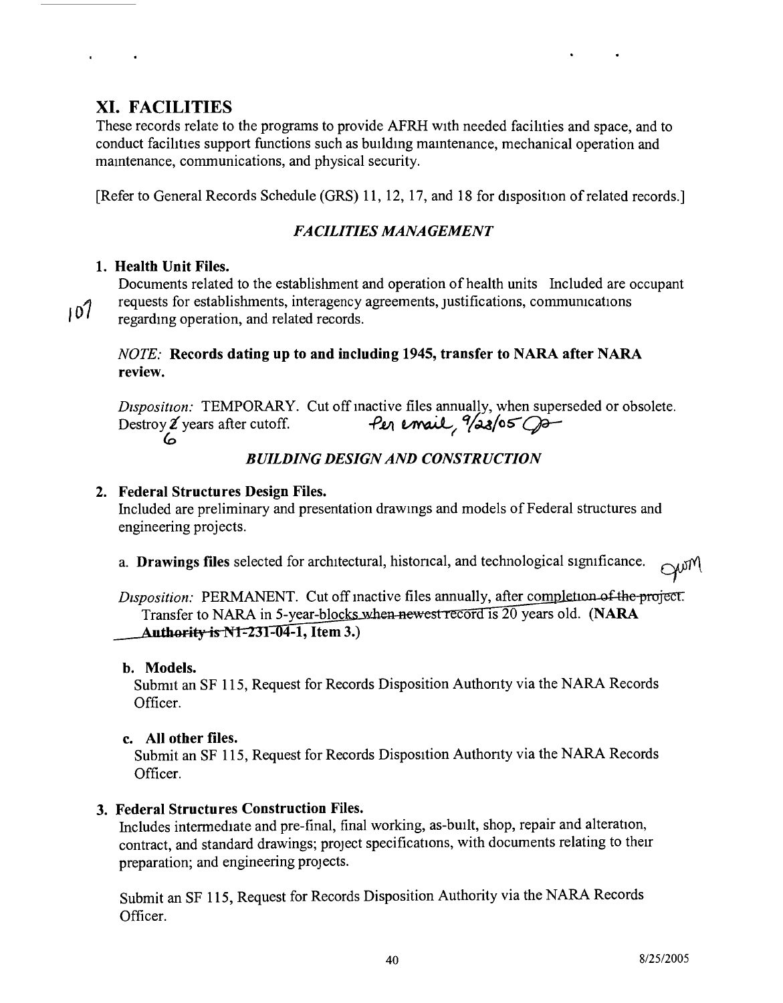NWML

## XI. FACILITIES

These records relate to the programs to provide AFRH with needed facihties and space, and to conduct facihties support functions such as buildmg mamtenance, mechanical operation and mamtenance, communications, and physical security.

[Refer to General Records Schedule (GRS) 11, 12, 17, and 18 for disposition of related records.]

### *FACILITIES MANAGEMENT*

### 1. Health Unit Files.

Documents related to the establishment and operation of health units Included are occupant requests for establishments, interagency agreements, Justifications, communications

 $107$ regarding operation, and related records.

#### *NOTE:* Records dating up to and including 1945, transfer to NARA after NARA review.

*Disposition:* TEMPORARY. Cut off inactive files annually, when superseded or obsolete.<br>Destroy  $\ell$  years after cutoff.  $\rho_{\ell}$   $\rho_{\ell}$   $\rho_{\ell}$   $\rho_{\ell}$   $\rho_{\ell}$   $\rho_{\ell}$   $\rho_{\ell}$   $\rho$   $\rho$   $\rho$   $\rho$ Destroy  $\chi$  years after cutoff. *Co*

#### *BUILDING DESIGN AND CONSTRUCTION*

#### 2. Federal Structures Design Files.

Included are preliminary and presentation drawmgs and models of Federal structures and engineering projects.

a. Drawings files selected for architectural, historical, and technological significance.  $\bigcap_{\mathcal{M}}\mathcal{M}$ 

*Disposition:* PERMANENT. Cut off inactive files annually, after comp Transfer to NARA in 5-year-blocks when newest record is 20 years old. (NARA **Authority is N1-231-04-1, Item 3.)** 

#### b. Models.

Submit an SF 115, Request for Records Disposition Authonty via the NARA Records Officer.

#### c. All other files.

Submit an SF 115, Request for Records Disposition Authonty via the NARA Records Officer.

### 3. Federal Structures Construction Files.

Includes intermediate and pre-final, final working, as-built, shop, repair and alteration, contract, and standard drawings; project specifications, with documents relating to their preparation; and engineering projects.

Submit an SF 115, Request for Records Disposition Authority via the NARA Records Officer.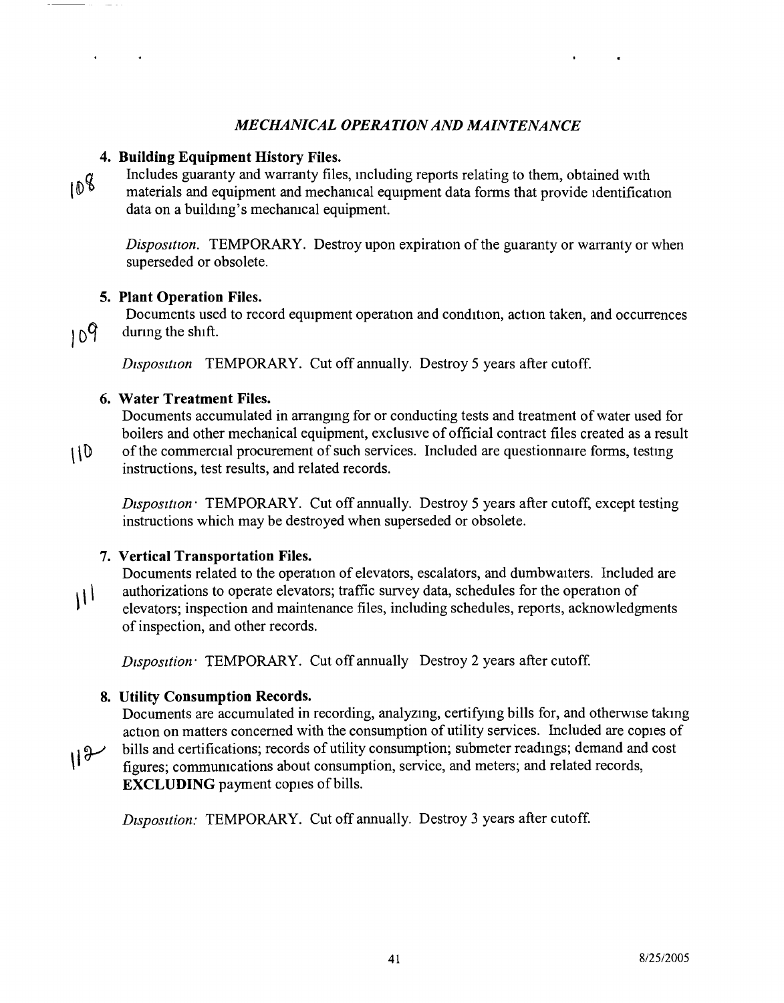#### *MECHANICAL OPERATION AND MAINTENANCE*

#### 4. Building Equipment History Files.

 $108$ 

Includes guaranty and warranty files, including reports relating to them, obtained with materials and equipment and mechamcal equipment data forms that provide identification data on a building's mechamcal equipment.

*Disposition.* TEMPORARY. Destroy upon expiration of the guaranty or warranty or when superseded or obsolete.

Documents used to record equipment operation and condition, action taken, and occurrences

#### 5. Plant Operation Files.

 $109$ 

during the shift.

*Disposition* TEMPORARY. Cut off annually. Destroy 5 years after cutoff.

#### 6. Water Treatment Files.

Documents accumulated in arranging for or conducting tests and treatment of water used for boilers and other mechanical equipment, exclusive of official contract files created as a result

 $110$ of the commercial procurement of such services. Included are questionnaire forms, testmg instructions, test results, and related records.

*Disposition:* TEMPORARY. Cut off annually. Destroy 5 years after cutoff, except testing instructions which may be destroyed when superseded or obsolete.

### 7. Vertical Transportation Files.

Documents related to the operation of elevators, escalators, and dumbwaiters. Included are authorizations to operate elevators; traffic survey data, schedules for the operation of ا ر elevators; inspection and maintenance files, including schedules, reports, acknowledgments of inspection, and other records.

*Dtsposttion:* TEMPORARY. Cut off annually Destroy 2 years after cutoff.

#### 8. Utility Consumption Records.

Documents are accumulated in recording, analyzing, certifying bills for, and otherwise taking action on matters concerned with the consumption of utility services. Included are copies of

 $H^{\theta}$ bills and certifications; records of utility consumption; submeter readings; demand and cost figures; commumcations about consumption, service, and meters; and related records, EXCLUDING payment copies of bills.

*Dtsposttion:* TEMPORARY. Cut off annually. Destroy 3 years after cutoff.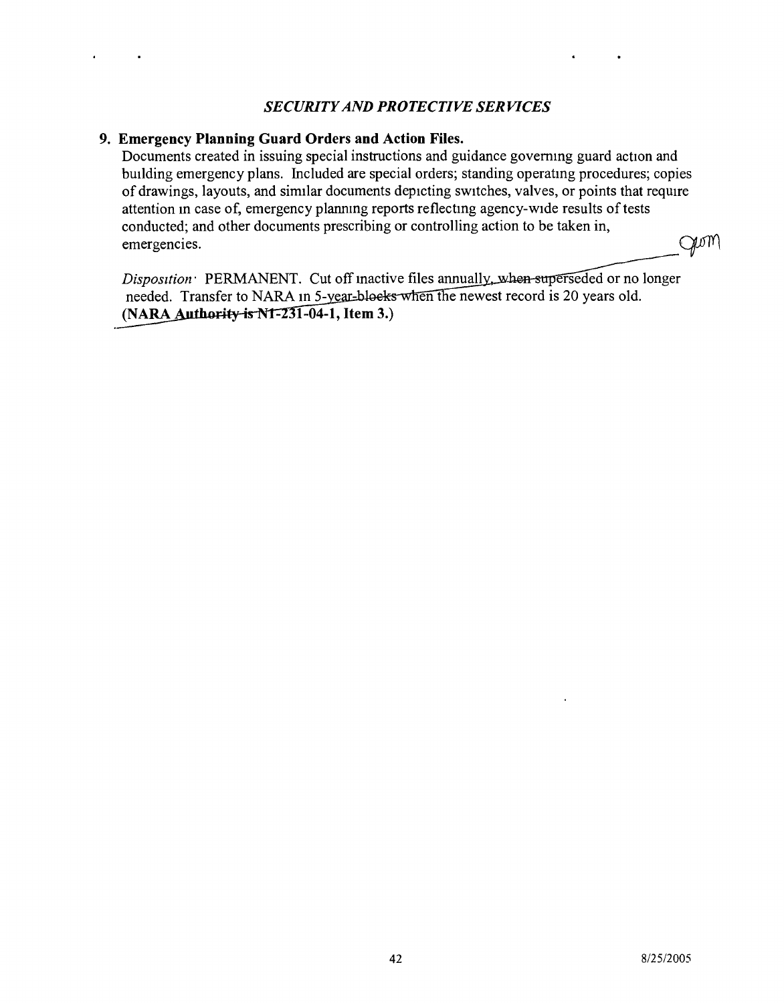#### *SECURITY AND PROTECTIVE SERVICES*

#### **9. Emergency Planning Guard Orders and Action Files.**

Documents created in issuing special instructions and guidance governing guard action and building emergency plans. Included are special orders; standing operatmg procedures; copies of drawings, layouts, and similar documents depicting switches, valves, or points that require attention m case of, emergency plannmg reports reflectmg agency-wide results of tests conducted; and other documents prescribing or controlling action to be taken in, gum emergencies.

Disposition PERMANENT. needed. Transfer to NARA in 5-year-blocks when the newest record is 20 years old. **(NARA 1-04-1, Item** 3.)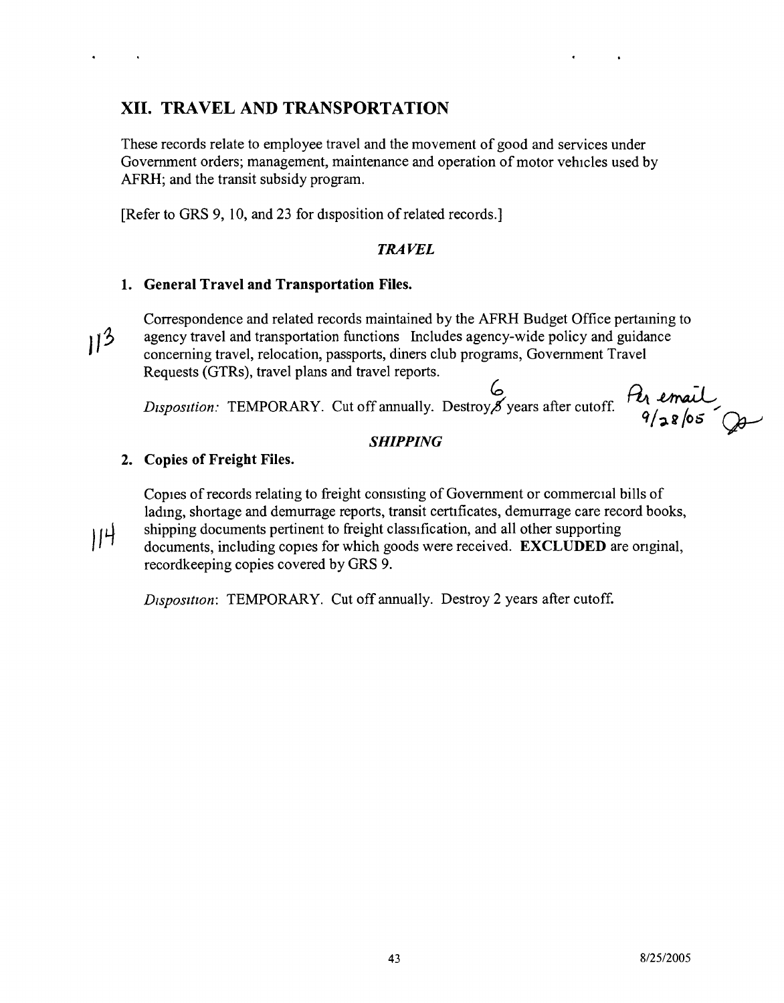## **XII. TRAVEL AND TRANSPORTATION**

These records relate to employee travel and the movement of good and services under Government orders; management, maintenance and operation of motor vehicles used by AFRH; and the transit subsidy program.

[Refer to GRS 9, 10, and 23 for disposition of related records.]

#### *TRAVEL*

#### **1. General Travel and Transportation Files.**

Correspondence and related records maintained by the AFRH Budget Office pertaming to  $11^3$ agency travel and transportation functions Includes agency-wide policy and guidance concerning travel, relocation, passports, diners club programs, Government Travel Requests (GTRs), travel plans and travel reports.

 $\frac{\theta_1}{\theta}\frac{1}{2865}$  $\frac{6}{5}$ *Disposition:* TEMPORARY. Cut off annually. Destroy S years after cutoff

#### *SHIPPING*

#### **2. Copies of Freight Files.**

Copies of records relating to freight consisting of Government or commercial bills of ladmg, shortage and demurrage reports, transit certificates, demurrage care record books, shipping documents pertinent to freight classification, and all other supporting  $||$ <sup>4</sup> documents, including copies for which goods were received. **EXCLUDED** are onginal, recordkeeping copies covered by GRS 9.

*Dtsposttion:* TEMPORARY. Cut off annually. Destroy 2 years after cutoff.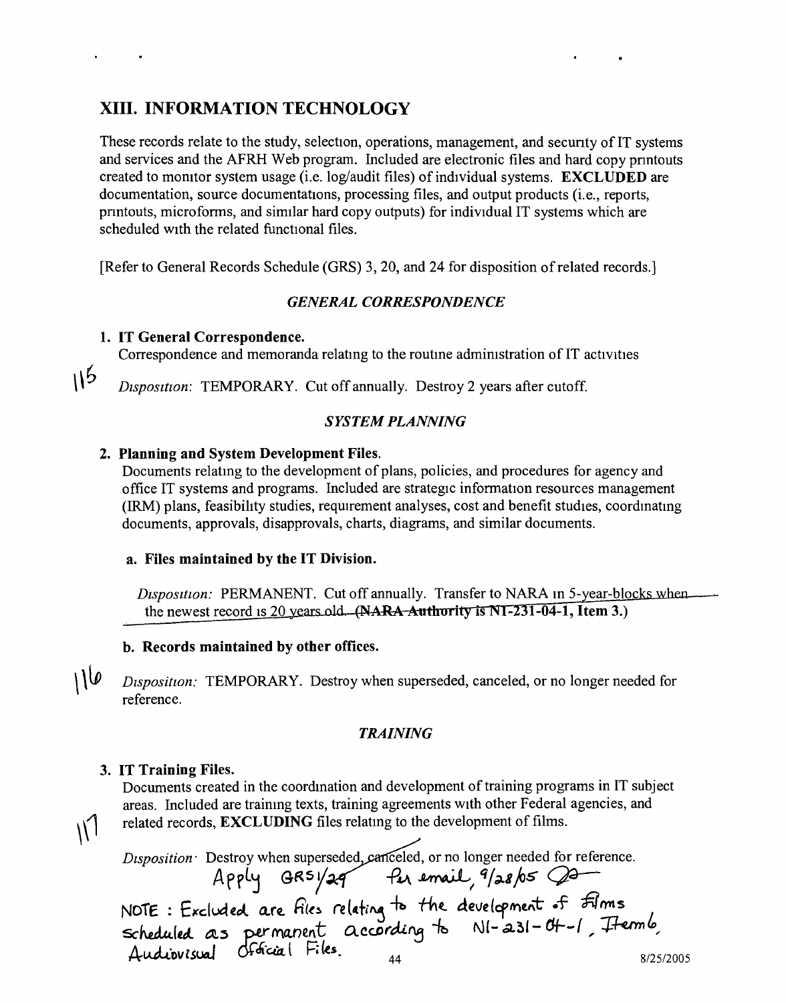## XIII. INFORMATION TECHNOLOGY

These records relate to the study, selection, operations, management, and secunty of IT systems and services and the AFRH Web program. Included are electronic files and hard copy pnntouts created to momtor system usage (i.e. log/audit files) of individual systems. EXCLUDED are documentation, source documentations, processing files, and output products (i.e., reports, pnntouts, microfonns, and similar hard copy outputs) for individual IT systems which are scheduled with the related functional files.

[Refer to General Records Schedule (GRS) 3, 20, and 24 for disposition of related records.]

#### *GENERAL CORRESPONDENCE*

#### 1. IT General Correspondenc

 $115$ 

Correspondence and memoranda relating to the routine administration of IT activities

*Disposition:* TEMPORARY. Cut off annually. Destroy 2 years after cutoff.

#### *SYSTEM PLANNING*

#### 2. Planning and System Development Files.

Documents relatmg to the development of plans, policies, and procedures for agency and office IT systems and programs. Included are strategic information resources management (IRM) plans, feasibility studies, requirement analyses, cost and benefit studies, coordmatmg documents, approvals, disapprovals, charts, diagrams, and similar documents.

#### a. Files maintained by the IT Division.

*Disposition:* PERMANENT. Cut off annually. Transfer to NARA in 5-year-blocks when the newest record is 20 years old.  $(AARA$  Authority is NI-231-04-1, Item 3.)

#### b. Records maintained by other offices.

 $100$ *Disposition:* TEMPORARY. Destroy when superseded, canceled, or no longer needed for reference.

#### *TRAINING*

#### 3. IT Training Files.

Documents created in the coordmation and development of training programs in IT subject areas. Included are training texts, training agreements with other Federal agencies, and related records, **EXCLUDING** files relating to the development of films.

*Disposition:* Destroy when superseded, canceled, or no longer needed for reference<br>Apply GRSY 29 Put *email*, 9/28/05

NOTE: Excluded are files relating to the development of *film* NOTE: Excluded are files relating to the aevelopment of *own*es<br>scheduled as permanent according to NI-231-Of-1, Itermid *Audiovisual Official* Files. 44 3/25/2006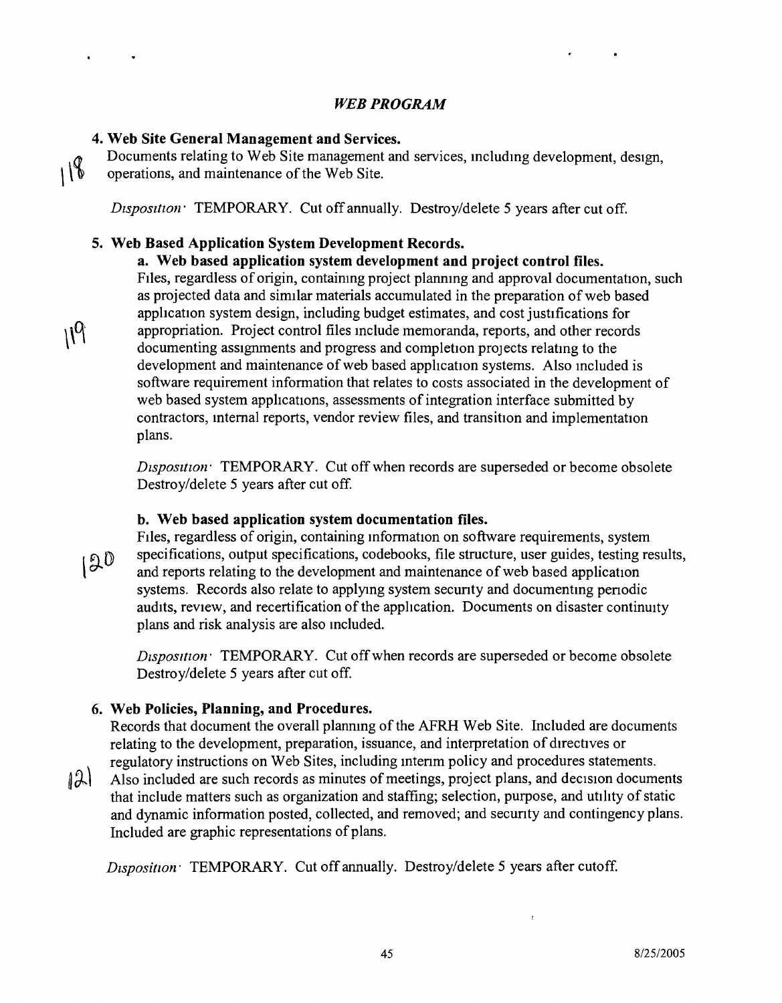#### *WEB PROGRAM*

## **4. Web Site General Management and Services.**

 $\mathcal{W}_1$ 

Documents relating to Web Site management and services, mcludmg development, design,  $118$ operations, and maintenance of the Web Site.

*Disposition* TEMPORARY. Cut off annually. Destroy/delete 5 years after cut off.

## **5. Web Based Application System Development Records.**

## **a. Web based application system development and project control files.**

FIles, regardless of origin, containing project plannmg and approval documentation, such as projected data and similar materials accumulated in the preparation of web based application system design, including budget estimates, and cost justifications for appropriation. Project control files Include memoranda, reports, and other records documenting assignments and progress and completion projects relatmg to the development and maintenance of web based application systems. Also included is software requirement information that relates to costs associated in the development of web based system applications, assessments of integration interface submitted by contractors, Internal reports, vendor review files, and transition and implementation plans.

*Disposition* TEMPORARY. Cut off when records are superseded or become obsolete Destroy/delete 5 years after cut off.

## **b. Web based application system documentation files.**

Files, regardless of origin, containing mformation on software requirements, system specifications, output specifications, codebooks, file structure, user guides, testing results,  $120$ and reports relating to the development and maintenance of web based application systems. Records also relate to applying system secunty and documentmg penodic audits, review, and recertification of the application. Documents on disaster continuity plans and risk analysis are also included.

*Dtsposttton:* TEMPORARY. Cut off when records are superseded or become obsolete Destroy/delete 5 years after cut off.

## **6. Web Policies, Planning, and Procedures.**

Records that document the overall planning of the AFRH Web Site. Included are documents relating to the development, preparation, issuance, and interpretation of directives or regulatory instructions on Web Sites, including mtenm policy and procedures statements.

 $12$ Also included are such records as minutes of meetings, project plans, and decision documents that include matters such as organization and staffing; selection, purpose, and utility of static and dynamic information posted, collected, and removed; and secunty and contingency plans. Included are graphic representations of plans .

*D<sub>1</sub>Sposition* TEMPORARY. Cut off annually. Destroy/delete 5 years after cutoff.

 $\mathcal{C}$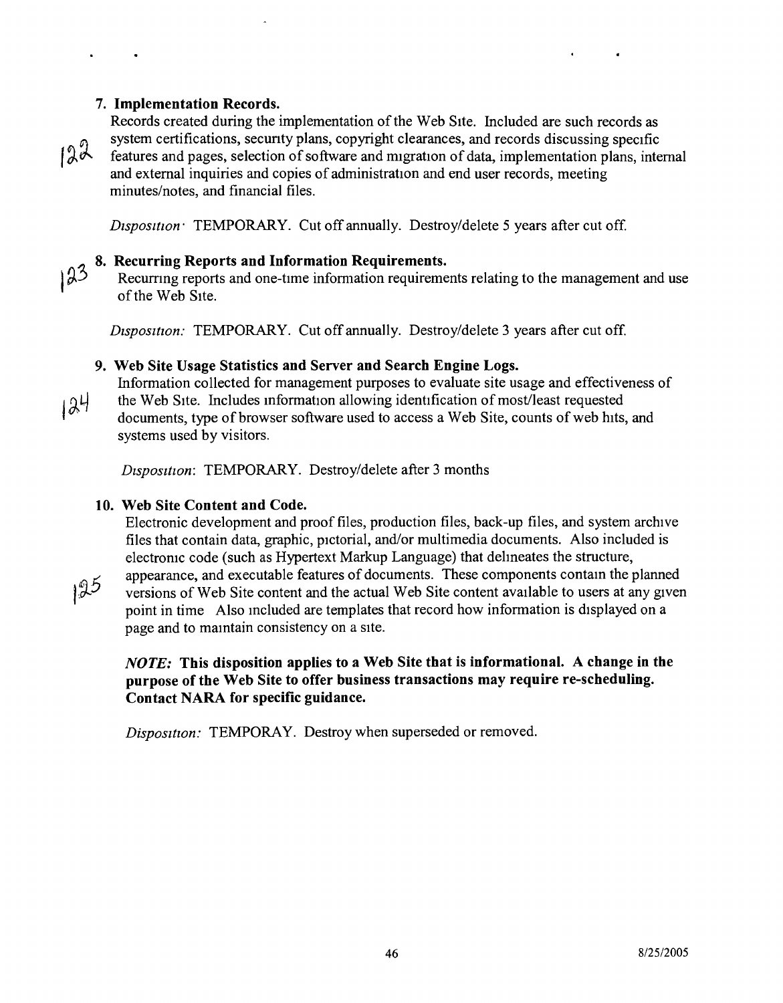#### **7. Implementation Records.**



Records created during the implementation of the Web SIte. Included are such records as system certifications, secunty plans, copyright clearances, and records discussing specific features and pages, selection of software and migration of data, implementation plans, internal and external inquiries and copies of administration and end user records, meeting minutes/notes, and financial files.

*Dtsposuion:* TEMPORARY. Cut off annually. Destroy/delete 5 years after cut off.

#### **8. Recurring Reports and Information Requirements.**

 $123$ 

Recurring reports and one-time information requirements relating to the management and use of the Web SIte.

*Dtspositton:* TEMPORARY. Cut off annually. Destroy/delete 3 years after cut off.

#### **9. Web Site Usage Statistics and Server and Search Engine Logs.**

Information collected for management purposes to evaluate site usage and effectiveness of the Web SIte. Includes information allowing identification of most/least requested

 $124$ documents, type of browser software used to access a Web Site, counts of web hits, and systems used by visitors.

*Disposition:* TEMPORARY. Destroy/delete after 3 months

#### **10. Web Site Content and Code.**

Electronic development and proof files, production files, back-up files, and system archive files that contain data, graphic, pictorial, and/or multimedia documents. Also included is electronic code (such as Hypertext Markup Language) that delmeates the structure,

 $125$ 

appearance, and executable features of documents. These components contam the planned versions of Web Site content and the actual Web Site content available to users at any given point in time Also mcluded are templates that record how information is displayed on a page and to mamtain consistency on a SIte.

#### *NOTE:* **This disposition applies to a Web Site that is informational. A change in the purpose of the Web Site to offer business transactions may require re-scheduling. Contact NARA for specific guidance.**

*Disposition:* TEMPORAY. Destroy when superseded or removed.

NWML